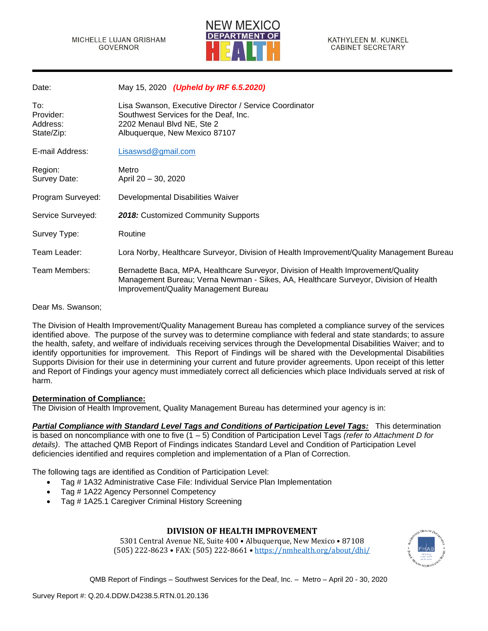

| Date:                                      | May 15, 2020 (Upheld by IRF 6.5.2020)                                                                                                                                                                              |
|--------------------------------------------|--------------------------------------------------------------------------------------------------------------------------------------------------------------------------------------------------------------------|
| To:<br>Provider:<br>Address:<br>State/Zip: | Lisa Swanson, Executive Director / Service Coordinator<br>Southwest Services for the Deaf, Inc.<br>2202 Menaul Blvd NE, Ste 2<br>Albuquerque, New Mexico 87107                                                     |
| E-mail Address:                            | Lisaswsd@gmail.com                                                                                                                                                                                                 |
| Region:<br>Survey Date:                    | Metro<br>April 20 - 30, 2020                                                                                                                                                                                       |
| Program Surveyed:                          | Developmental Disabilities Waiver                                                                                                                                                                                  |
| Service Surveyed:                          | 2018: Customized Community Supports                                                                                                                                                                                |
| Survey Type:                               | Routine                                                                                                                                                                                                            |
| Team Leader:                               | Lora Norby, Healthcare Surveyor, Division of Health Improvement/Quality Management Bureau                                                                                                                          |
| Team Members:                              | Bernadette Baca, MPA, Healthcare Surveyor, Division of Health Improvement/Quality<br>Management Bureau; Verna Newman - Sikes, AA, Healthcare Surveyor, Division of Health<br>Improvement/Quality Management Bureau |

Dear Ms. Swanson;

The Division of Health Improvement/Quality Management Bureau has completed a compliance survey of the services identified above. The purpose of the survey was to determine compliance with federal and state standards; to assure the health, safety, and welfare of individuals receiving services through the Developmental Disabilities Waiver; and to identify opportunities for improvement. This Report of Findings will be shared with the Developmental Disabilities Supports Division for their use in determining your current and future provider agreements. Upon receipt of this letter and Report of Findings your agency must immediately correct all deficiencies which place Individuals served at risk of harm.

## **Determination of Compliance:**

The Division of Health Improvement, Quality Management Bureau has determined your agency is in:

*Partial Compliance with Standard Level Tags and Conditions of Participation Level Tags:* This determination is based on noncompliance with one to five (1 – 5) Condition of Participation Level Tags *(refer to Attachment D for details)*. The attached QMB Report of Findings indicates Standard Level and Condition of Participation Level deficiencies identified and requires completion and implementation of a Plan of Correction.

The following tags are identified as Condition of Participation Level:

- Tag # 1A32 Administrative Case File: Individual Service Plan Implementation
- Tag # 1A22 Agency Personnel Competency
- Tag # 1A25.1 Caregiver Criminal History Screening

## **DIVISION OF HEALTH IMPROVEMENT**

5301 Central Avenue NE, Suite 400 • Albuquerque, New Mexico • 87108 (505) 222-8623 • FAX: (505) 222-8661 • <https://nmhealth.org/about/dhi/>

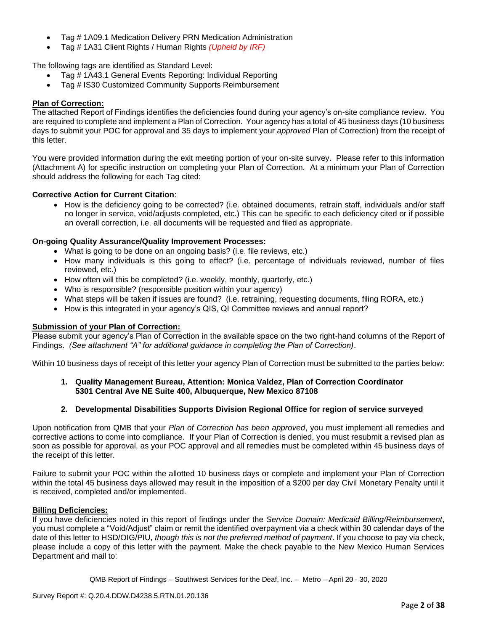- Tag # 1A09.1 Medication Delivery PRN Medication Administration
- Tag # 1A31 Client Rights / Human Rights *(Upheld by IRF)*

The following tags are identified as Standard Level:

- Tag # 1A43.1 General Events Reporting: Individual Reporting
- Tag # IS30 Customized Community Supports Reimbursement

## **Plan of Correction:**

The attached Report of Findings identifies the deficiencies found during your agency's on-site compliance review. You are required to complete and implement a Plan of Correction. Your agency has a total of 45 business days (10 business days to submit your POC for approval and 35 days to implement your *approved* Plan of Correction) from the receipt of this letter.

You were provided information during the exit meeting portion of your on-site survey. Please refer to this information (Attachment A) for specific instruction on completing your Plan of Correction. At a minimum your Plan of Correction should address the following for each Tag cited:

## **Corrective Action for Current Citation**:

• How is the deficiency going to be corrected? (i.e. obtained documents, retrain staff, individuals and/or staff no longer in service, void/adjusts completed, etc.) This can be specific to each deficiency cited or if possible an overall correction, i.e. all documents will be requested and filed as appropriate.

## **On-going Quality Assurance/Quality Improvement Processes:**

- What is going to be done on an ongoing basis? (i.e. file reviews, etc.)
- How many individuals is this going to effect? (i.e. percentage of individuals reviewed, number of files reviewed, etc.)
- How often will this be completed? (i.e. weekly, monthly, quarterly, etc.)
- Who is responsible? (responsible position within your agency)
- What steps will be taken if issues are found? (i.e. retraining, requesting documents, filing RORA, etc.)
- How is this integrated in your agency's QIS, QI Committee reviews and annual report?

## **Submission of your Plan of Correction:**

Please submit your agency's Plan of Correction in the available space on the two right-hand columns of the Report of Findings. *(See attachment "A" for additional guidance in completing the Plan of Correction)*.

Within 10 business days of receipt of this letter your agency Plan of Correction must be submitted to the parties below:

## **1. Quality Management Bureau, Attention: Monica Valdez, Plan of Correction Coordinator 5301 Central Ave NE Suite 400, Albuquerque, New Mexico 87108**

## **2. Developmental Disabilities Supports Division Regional Office for region of service surveyed**

Upon notification from QMB that your *Plan of Correction has been approved*, you must implement all remedies and corrective actions to come into compliance. If your Plan of Correction is denied, you must resubmit a revised plan as soon as possible for approval, as your POC approval and all remedies must be completed within 45 business days of the receipt of this letter.

Failure to submit your POC within the allotted 10 business days or complete and implement your Plan of Correction within the total 45 business days allowed may result in the imposition of a \$200 per day Civil Monetary Penalty until it is received, completed and/or implemented.

## **Billing Deficiencies:**

If you have deficiencies noted in this report of findings under the *Service Domain: Medicaid Billing/Reimbursement*, you must complete a "Void/Adjust" claim or remit the identified overpayment via a check within 30 calendar days of the date of this letter to HSD/OIG/PIU, *though this is not the preferred method of payment*. If you choose to pay via check, please include a copy of this letter with the payment. Make the check payable to the New Mexico Human Services Department and mail to: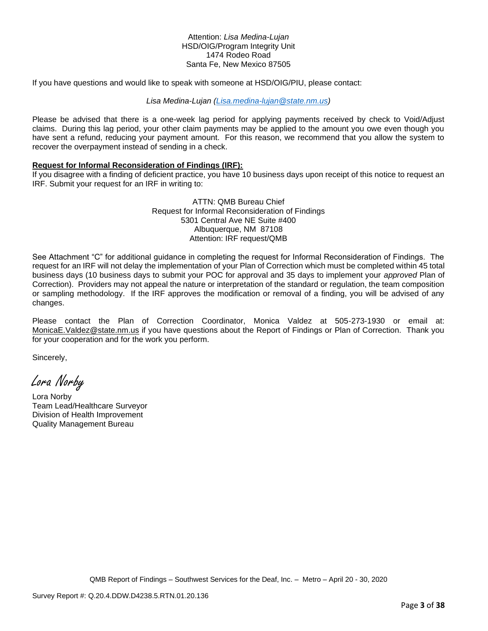## Attention: *Lisa Medina-Lujan* HSD/OIG/Program Integrity Unit 1474 Rodeo Road Santa Fe, New Mexico 87505

If you have questions and would like to speak with someone at HSD/OIG/PIU, please contact:

## *Lisa Medina-Lujan [\(Lisa.medina-lujan@state.nm.us\)](mailto:Lisa.medina-lujan@state.nm.us)*

Please be advised that there is a one-week lag period for applying payments received by check to Void/Adjust claims. During this lag period, your other claim payments may be applied to the amount you owe even though you have sent a refund, reducing your payment amount. For this reason, we recommend that you allow the system to recover the overpayment instead of sending in a check.

#### **Request for Informal Reconsideration of Findings (IRF):**

If you disagree with a finding of deficient practice, you have 10 business days upon receipt of this notice to request an IRF. Submit your request for an IRF in writing to:

> ATTN: QMB Bureau Chief Request for Informal Reconsideration of Findings 5301 Central Ave NE Suite #400 Albuquerque, NM 87108 Attention: IRF request/QMB

See Attachment "C" for additional guidance in completing the request for Informal Reconsideration of Findings. The request for an IRF will not delay the implementation of your Plan of Correction which must be completed within 45 total business days (10 business days to submit your POC for approval and 35 days to implement your *approved* Plan of Correction). Providers may not appeal the nature or interpretation of the standard or regulation, the team composition or sampling methodology. If the IRF approves the modification or removal of a finding, you will be advised of any changes.

Please contact the Plan of Correction Coordinator, Monica Valdez at 505-273-1930 or email at: [MonicaE.Valdez@state.nm.us](mailto:MonicaE.Valdez@state.nm.us) if you have questions about the Report of Findings or Plan of Correction. Thank you for your cooperation and for the work you perform.

Sincerely,

Lora Norby

Lora Norby Team Lead/Healthcare Surveyor Division of Health Improvement Quality Management Bureau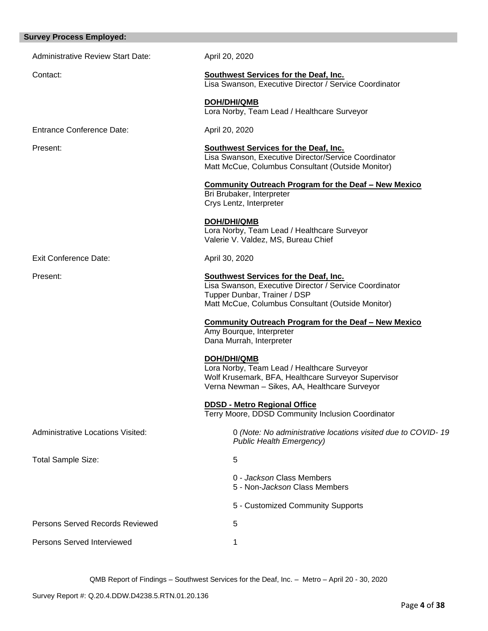| <b>Survey Process Employed:</b>          |                                                                                                                                                                                             |
|------------------------------------------|---------------------------------------------------------------------------------------------------------------------------------------------------------------------------------------------|
| <b>Administrative Review Start Date:</b> | April 20, 2020                                                                                                                                                                              |
| Contact:                                 | Southwest Services for the Deaf, Inc.<br>Lisa Swanson, Executive Director / Service Coordinator                                                                                             |
|                                          | <b>DOH/DHI/QMB</b><br>Lora Norby, Team Lead / Healthcare Surveyor                                                                                                                           |
| <b>Entrance Conference Date:</b>         | April 20, 2020                                                                                                                                                                              |
| Present:                                 | <b>Southwest Services for the Deaf, Inc.</b><br>Lisa Swanson, Executive Director/Service Coordinator<br>Matt McCue, Columbus Consultant (Outside Monitor)                                   |
|                                          | <b>Community Outreach Program for the Deaf - New Mexico</b><br>Bri Brubaker, Interpreter<br>Crys Lentz, Interpreter                                                                         |
|                                          | <b>DOH/DHI/QMB</b><br>Lora Norby, Team Lead / Healthcare Surveyor<br>Valerie V. Valdez, MS, Bureau Chief                                                                                    |
| <b>Exit Conference Date:</b>             | April 30, 2020                                                                                                                                                                              |
| Present:                                 | <b>Southwest Services for the Deaf, Inc.</b><br>Lisa Swanson, Executive Director / Service Coordinator<br>Tupper Dunbar, Trainer / DSP<br>Matt McCue, Columbus Consultant (Outside Monitor) |
|                                          | <b>Community Outreach Program for the Deaf - New Mexico</b><br>Amy Bourque, Interpreter<br>Dana Murrah, Interpreter                                                                         |
|                                          | <b>DOH/DHI/QMB</b><br>Lora Norby, Team Lead / Healthcare Surveyor<br>Wolf Krusemark, BFA, Healthcare Surveyor Supervisor<br>Verna Newman - Sikes, AA, Healthcare Surveyor                   |
|                                          | <b>DDSD - Metro Regional Office</b><br>Terry Moore, DDSD Community Inclusion Coordinator                                                                                                    |
| <b>Administrative Locations Visited:</b> | 0 (Note: No administrative locations visited due to COVID-19<br><b>Public Health Emergency)</b>                                                                                             |
| <b>Total Sample Size:</b>                | 5                                                                                                                                                                                           |
|                                          | 0 - Jackson Class Members<br>5 - Non- <i>Jackson</i> Class Members                                                                                                                          |
|                                          | 5 - Customized Community Supports                                                                                                                                                           |
| <b>Persons Served Records Reviewed</b>   | 5                                                                                                                                                                                           |
| Persons Served Interviewed               | 1                                                                                                                                                                                           |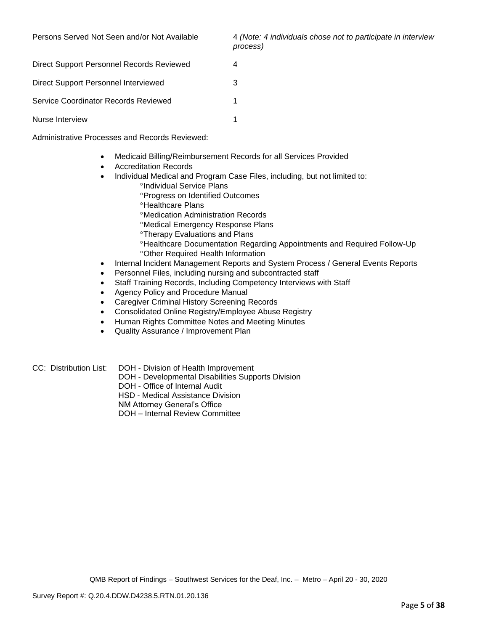Persons Served Not Seen and/or Not Available 4 *(Note: 4 individuals chose not to participate in interview process)*

| Direct Support Personnel Records Reviewed |   |
|-------------------------------------------|---|
| Direct Support Personnel Interviewed      | 3 |
| Service Coordinator Records Reviewed      |   |
| Nurse Interview                           |   |

Administrative Processes and Records Reviewed:

- Medicaid Billing/Reimbursement Records for all Services Provided
- Accreditation Records
- Individual Medical and Program Case Files, including, but not limited to:
	- <sup>o</sup>Individual Service Plans
	- Progress on Identified Outcomes
	- **<sup>o</sup>Healthcare Plans**
	- Medication Administration Records
	- Medical Emergency Response Plans
	- Therapy Evaluations and Plans
	- Healthcare Documentation Regarding Appointments and Required Follow-Up Other Required Health Information
- Internal Incident Management Reports and System Process / General Events Reports
- Personnel Files, including nursing and subcontracted staff
- Staff Training Records, Including Competency Interviews with Staff
- Agency Policy and Procedure Manual
- Caregiver Criminal History Screening Records
- Consolidated Online Registry/Employee Abuse Registry
- Human Rights Committee Notes and Meeting Minutes
- Quality Assurance / Improvement Plan
- CC: Distribution List: DOH Division of Health Improvement
	- DOH Developmental Disabilities Supports Division
	- DOH Office of Internal Audit

HSD - Medical Assistance Division

- NM Attorney General's Office
- DOH Internal Review Committee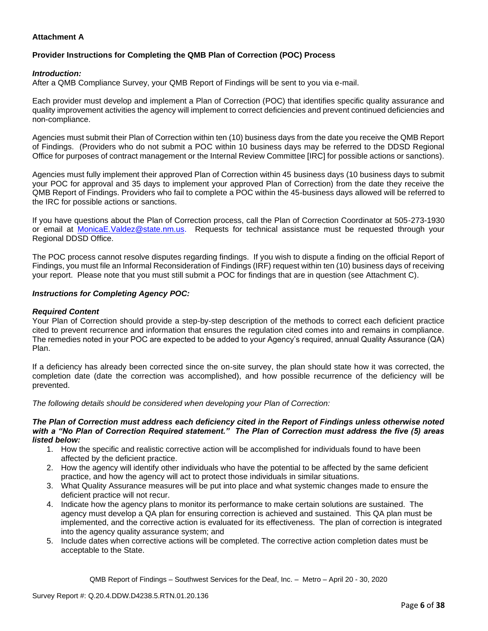## **Attachment A**

# **Provider Instructions for Completing the QMB Plan of Correction (POC) Process**

## *Introduction:*

After a QMB Compliance Survey, your QMB Report of Findings will be sent to you via e-mail.

Each provider must develop and implement a Plan of Correction (POC) that identifies specific quality assurance and quality improvement activities the agency will implement to correct deficiencies and prevent continued deficiencies and non-compliance.

Agencies must submit their Plan of Correction within ten (10) business days from the date you receive the QMB Report of Findings. (Providers who do not submit a POC within 10 business days may be referred to the DDSD Regional Office for purposes of contract management or the Internal Review Committee [IRC] for possible actions or sanctions).

Agencies must fully implement their approved Plan of Correction within 45 business days (10 business days to submit your POC for approval and 35 days to implement your approved Plan of Correction) from the date they receive the QMB Report of Findings. Providers who fail to complete a POC within the 45-business days allowed will be referred to the IRC for possible actions or sanctions.

If you have questions about the Plan of Correction process, call the Plan of Correction Coordinator at 505-273-1930 or email at [MonicaE.Valdez@state.nm.us.](mailto:MonicaE.Valdez@state.nm.us) Requests for technical assistance must be requested through your Regional DDSD Office.

The POC process cannot resolve disputes regarding findings. If you wish to dispute a finding on the official Report of Findings, you must file an Informal Reconsideration of Findings (IRF) request within ten (10) business days of receiving your report. Please note that you must still submit a POC for findings that are in question (see Attachment C).

## *Instructions for Completing Agency POC:*

## *Required Content*

Your Plan of Correction should provide a step-by-step description of the methods to correct each deficient practice cited to prevent recurrence and information that ensures the regulation cited comes into and remains in compliance. The remedies noted in your POC are expected to be added to your Agency's required, annual Quality Assurance (QA) Plan.

If a deficiency has already been corrected since the on-site survey, the plan should state how it was corrected, the completion date (date the correction was accomplished), and how possible recurrence of the deficiency will be prevented.

*The following details should be considered when developing your Plan of Correction:*

#### *The Plan of Correction must address each deficiency cited in the Report of Findings unless otherwise noted with a "No Plan of Correction Required statement." The Plan of Correction must address the five (5) areas listed below:*

- 1. How the specific and realistic corrective action will be accomplished for individuals found to have been affected by the deficient practice.
- 2. How the agency will identify other individuals who have the potential to be affected by the same deficient practice, and how the agency will act to protect those individuals in similar situations.
- 3. What Quality Assurance measures will be put into place and what systemic changes made to ensure the deficient practice will not recur.
- 4. Indicate how the agency plans to monitor its performance to make certain solutions are sustained. The agency must develop a QA plan for ensuring correction is achieved and sustained. This QA plan must be implemented, and the corrective action is evaluated for its effectiveness. The plan of correction is integrated into the agency quality assurance system; and
- 5. Include dates when corrective actions will be completed. The corrective action completion dates must be acceptable to the State.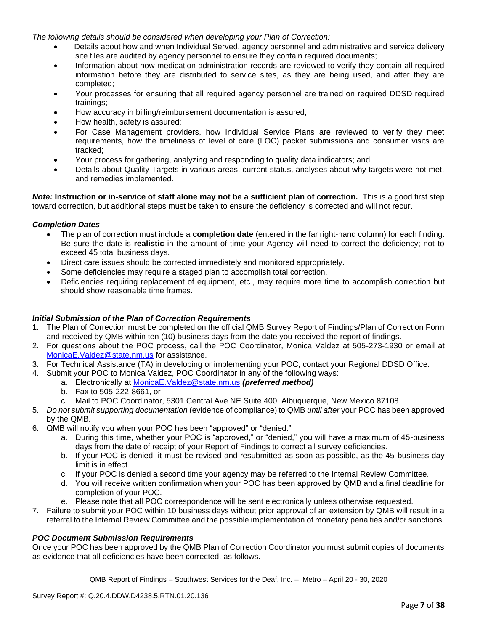*The following details should be considered when developing your Plan of Correction:*

- Details about how and when Individual Served, agency personnel and administrative and service delivery site files are audited by agency personnel to ensure they contain required documents;
- Information about how medication administration records are reviewed to verify they contain all required information before they are distributed to service sites, as they are being used, and after they are completed;
- Your processes for ensuring that all required agency personnel are trained on required DDSD required trainings;
- How accuracy in billing/reimbursement documentation is assured;
- How health, safety is assured;
- For Case Management providers, how Individual Service Plans are reviewed to verify they meet requirements, how the timeliness of level of care (LOC) packet submissions and consumer visits are tracked;
- Your process for gathering, analyzing and responding to quality data indicators; and,
- Details about Quality Targets in various areas, current status, analyses about why targets were not met, and remedies implemented.

*Note:* **Instruction or in-service of staff alone may not be a sufficient plan of correction.** This is a good first step toward correction, but additional steps must be taken to ensure the deficiency is corrected and will not recur.

## *Completion Dates*

- The plan of correction must include a **completion date** (entered in the far right-hand column) for each finding. Be sure the date is **realistic** in the amount of time your Agency will need to correct the deficiency; not to exceed 45 total business days.
- Direct care issues should be corrected immediately and monitored appropriately.
- Some deficiencies may require a staged plan to accomplish total correction.
- Deficiencies requiring replacement of equipment, etc., may require more time to accomplish correction but should show reasonable time frames.

## *Initial Submission of the Plan of Correction Requirements*

- 1. The Plan of Correction must be completed on the official QMB Survey Report of Findings/Plan of Correction Form and received by QMB within ten (10) business days from the date you received the report of findings.
- 2. For questions about the POC process, call the POC Coordinator, Monica Valdez at 505-273-1930 or email at [MonicaE.Valdez@state.nm.us](mailto:MonicaE.Valdez@state.nm.us) for assistance.
- 3. For Technical Assistance (TA) in developing or implementing your POC, contact your Regional DDSD Office.
- 4. Submit your POC to Monica Valdez, POC Coordinator in any of the following ways:
	- a. Electronically at [MonicaE.Valdez@state.nm.us](mailto:MonicaE.Valdez@state.nm.us) *(preferred method)*
	- b. Fax to 505-222-8661, or
	- c. Mail to POC Coordinator, 5301 Central Ave NE Suite 400, Albuquerque, New Mexico 87108
- 5. *Do not submit supporting documentation* (evidence of compliance) to QMB *until after* your POC has been approved by the QMB.
- 6. QMB will notify you when your POC has been "approved" or "denied."
	- a. During this time, whether your POC is "approved," or "denied," you will have a maximum of 45-business days from the date of receipt of your Report of Findings to correct all survey deficiencies.
	- b. If your POC is denied, it must be revised and resubmitted as soon as possible, as the 45-business day limit is in effect.
	- c. If your POC is denied a second time your agency may be referred to the Internal Review Committee.
	- d. You will receive written confirmation when your POC has been approved by QMB and a final deadline for completion of your POC.
	- e. Please note that all POC correspondence will be sent electronically unless otherwise requested.
- 7. Failure to submit your POC within 10 business days without prior approval of an extension by QMB will result in a referral to the Internal Review Committee and the possible implementation of monetary penalties and/or sanctions.

## *POC Document Submission Requirements*

Once your POC has been approved by the QMB Plan of Correction Coordinator you must submit copies of documents as evidence that all deficiencies have been corrected, as follows.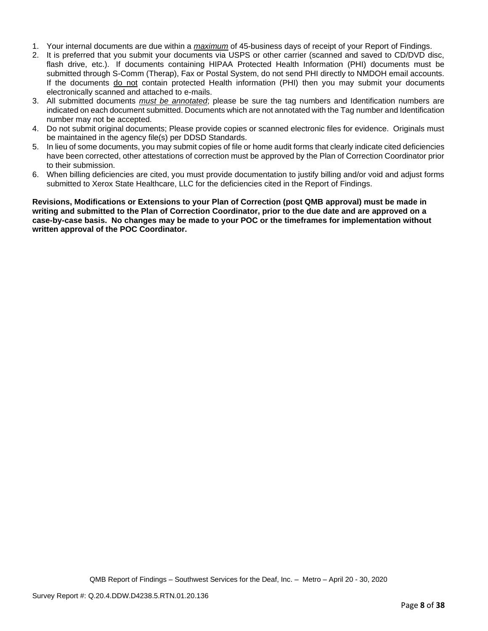- 1. Your internal documents are due within a *maximum* of 45-business days of receipt of your Report of Findings.
- 2. It is preferred that you submit your documents via USPS or other carrier (scanned and saved to CD/DVD disc, flash drive, etc.). If documents containing HIPAA Protected Health Information (PHI) documents must be submitted through S-Comm (Therap), Fax or Postal System, do not send PHI directly to NMDOH email accounts. If the documents do not contain protected Health information (PHI) then you may submit your documents electronically scanned and attached to e-mails.
- 3. All submitted documents *must be annotated*; please be sure the tag numbers and Identification numbers are indicated on each document submitted. Documents which are not annotated with the Tag number and Identification number may not be accepted.
- 4. Do not submit original documents; Please provide copies or scanned electronic files for evidence. Originals must be maintained in the agency file(s) per DDSD Standards.
- 5. In lieu of some documents, you may submit copies of file or home audit forms that clearly indicate cited deficiencies have been corrected, other attestations of correction must be approved by the Plan of Correction Coordinator prior to their submission.
- 6. When billing deficiencies are cited, you must provide documentation to justify billing and/or void and adjust forms submitted to Xerox State Healthcare, LLC for the deficiencies cited in the Report of Findings.

**Revisions, Modifications or Extensions to your Plan of Correction (post QMB approval) must be made in writing and submitted to the Plan of Correction Coordinator, prior to the due date and are approved on a case-by-case basis. No changes may be made to your POC or the timeframes for implementation without written approval of the POC Coordinator.**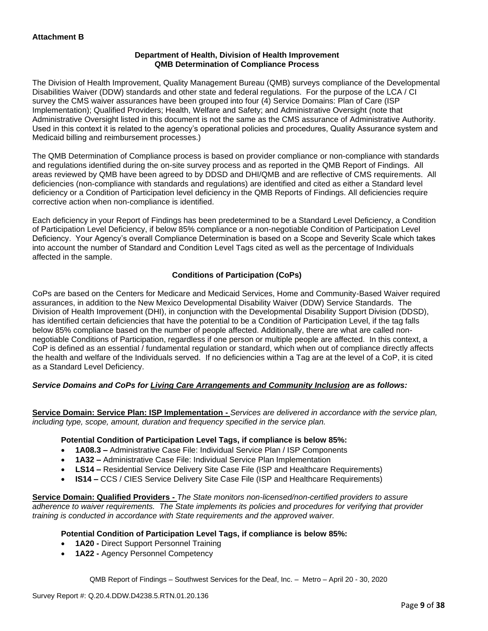## **Department of Health, Division of Health Improvement QMB Determination of Compliance Process**

The Division of Health Improvement, Quality Management Bureau (QMB) surveys compliance of the Developmental Disabilities Waiver (DDW) standards and other state and federal regulations. For the purpose of the LCA / CI survey the CMS waiver assurances have been grouped into four (4) Service Domains: Plan of Care (ISP Implementation); Qualified Providers; Health, Welfare and Safety; and Administrative Oversight (note that Administrative Oversight listed in this document is not the same as the CMS assurance of Administrative Authority. Used in this context it is related to the agency's operational policies and procedures, Quality Assurance system and Medicaid billing and reimbursement processes.)

The QMB Determination of Compliance process is based on provider compliance or non-compliance with standards and regulations identified during the on-site survey process and as reported in the QMB Report of Findings. All areas reviewed by QMB have been agreed to by DDSD and DHI/QMB and are reflective of CMS requirements. All deficiencies (non-compliance with standards and regulations) are identified and cited as either a Standard level deficiency or a Condition of Participation level deficiency in the QMB Reports of Findings. All deficiencies require corrective action when non-compliance is identified.

Each deficiency in your Report of Findings has been predetermined to be a Standard Level Deficiency, a Condition of Participation Level Deficiency, if below 85% compliance or a non-negotiable Condition of Participation Level Deficiency. Your Agency's overall Compliance Determination is based on a Scope and Severity Scale which takes into account the number of Standard and Condition Level Tags cited as well as the percentage of Individuals affected in the sample.

## **Conditions of Participation (CoPs)**

CoPs are based on the Centers for Medicare and Medicaid Services, Home and Community-Based Waiver required assurances, in addition to the New Mexico Developmental Disability Waiver (DDW) Service Standards. The Division of Health Improvement (DHI), in conjunction with the Developmental Disability Support Division (DDSD), has identified certain deficiencies that have the potential to be a Condition of Participation Level, if the tag falls below 85% compliance based on the number of people affected. Additionally, there are what are called nonnegotiable Conditions of Participation, regardless if one person or multiple people are affected. In this context, a CoP is defined as an essential / fundamental regulation or standard, which when out of compliance directly affects the health and welfare of the Individuals served. If no deficiencies within a Tag are at the level of a CoP, it is cited as a Standard Level Deficiency.

## *Service Domains and CoPs for Living Care Arrangements and Community Inclusion are as follows:*

**Service Domain: Service Plan: ISP Implementation -** *Services are delivered in accordance with the service plan, including type, scope, amount, duration and frequency specified in the service plan.*

## **Potential Condition of Participation Level Tags, if compliance is below 85%:**

- **1A08.3 –** Administrative Case File: Individual Service Plan / ISP Components
- **1A32 –** Administrative Case File: Individual Service Plan Implementation
- **LS14 –** Residential Service Delivery Site Case File (ISP and Healthcare Requirements)
- **IS14 –** CCS / CIES Service Delivery Site Case File (ISP and Healthcare Requirements)

**Service Domain: Qualified Providers -** *The State monitors non-licensed/non-certified providers to assure adherence to waiver requirements. The State implements its policies and procedures for verifying that provider training is conducted in accordance with State requirements and the approved waiver.*

## **Potential Condition of Participation Level Tags, if compliance is below 85%:**

- **1A20 -** Direct Support Personnel Training
- **1A22 -** Agency Personnel Competency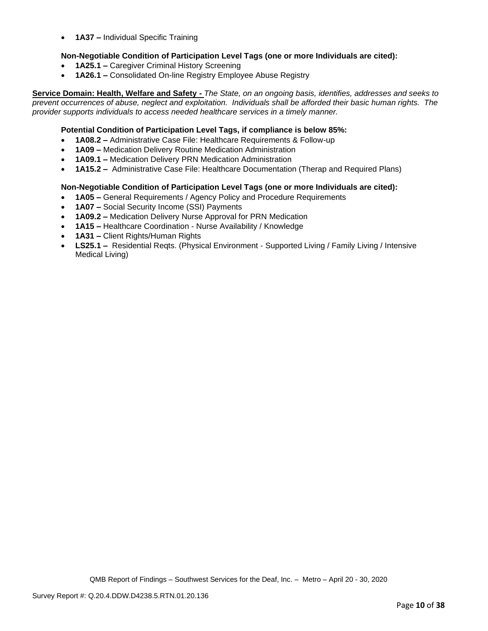• **1A37 –** Individual Specific Training

## **Non-Negotiable Condition of Participation Level Tags (one or more Individuals are cited):**

- **1A25.1 –** Caregiver Criminal History Screening
- **1A26.1 –** Consolidated On-line Registry Employee Abuse Registry

**Service Domain: Health, Welfare and Safety -** *The State, on an ongoing basis, identifies, addresses and seeks to prevent occurrences of abuse, neglect and exploitation. Individuals shall be afforded their basic human rights. The provider supports individuals to access needed healthcare services in a timely manner.*

## **Potential Condition of Participation Level Tags, if compliance is below 85%:**

- **1A08.2 –** Administrative Case File: Healthcare Requirements & Follow-up
- **1A09 –** Medication Delivery Routine Medication Administration
- **1A09.1 –** Medication Delivery PRN Medication Administration
- **1A15.2 –** Administrative Case File: Healthcare Documentation (Therap and Required Plans)

## **Non-Negotiable Condition of Participation Level Tags (one or more Individuals are cited):**

- **1A05 –** General Requirements / Agency Policy and Procedure Requirements
- **1A07 –** Social Security Income (SSI) Payments
- **1A09.2 –** Medication Delivery Nurse Approval for PRN Medication
- **1A15 –** Healthcare Coordination Nurse Availability / Knowledge
- **1A31 –** Client Rights/Human Rights
- **LS25.1 –** Residential Reqts. (Physical Environment Supported Living / Family Living / Intensive Medical Living)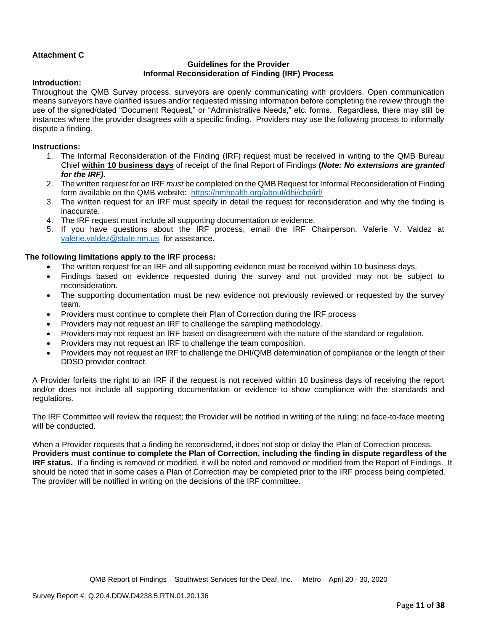## **Attachment C**

## **Guidelines for the Provider Informal Reconsideration of Finding (IRF) Process**

## **Introduction:**

Throughout the QMB Survey process, surveyors are openly communicating with providers. Open communication means surveyors have clarified issues and/or requested missing information before completing the review through the use of the signed/dated "Document Request," or "Administrative Needs," etc. forms. Regardless, there may still be instances where the provider disagrees with a specific finding. Providers may use the following process to informally dispute a finding.

## **Instructions:**

- 1. The Informal Reconsideration of the Finding (IRF) request must be received in writing to the QMB Bureau Chief **within 10 business days** of receipt of the final Report of Findings **(***Note: No extensions are granted for the IRF)***.**
- 2. The written request for an IRF *must* be completed on the QMB Request for Informal Reconsideration of Finding form available on the QMB website: <https://nmhealth.org/about/dhi/cbp/irf/>
- 3. The written request for an IRF must specify in detail the request for reconsideration and why the finding is inaccurate.
- 4. The IRF request must include all supporting documentation or evidence.
- 5. If you have questions about the IRF process, email the IRF Chairperson, Valerie V. Valdez at [valerie.valdez@state.nm.us](mailto:valerie.valdez@state.nm.us) for assistance.

## **The following limitations apply to the IRF process:**

- The written request for an IRF and all supporting evidence must be received within 10 business days.
- Findings based on evidence requested during the survey and not provided may not be subject to reconsideration.
- The supporting documentation must be new evidence not previously reviewed or requested by the survey team.
- Providers must continue to complete their Plan of Correction during the IRF process
- Providers may not request an IRF to challenge the sampling methodology.
- Providers may not request an IRF based on disagreement with the nature of the standard or regulation.
- Providers may not request an IRF to challenge the team composition.
- Providers may not request an IRF to challenge the DHI/QMB determination of compliance or the length of their DDSD provider contract.

A Provider forfeits the right to an IRF if the request is not received within 10 business days of receiving the report and/or does not include all supporting documentation or evidence to show compliance with the standards and regulations.

The IRF Committee will review the request; the Provider will be notified in writing of the ruling; no face-to-face meeting will be conducted.

When a Provider requests that a finding be reconsidered, it does not stop or delay the Plan of Correction process. **Providers must continue to complete the Plan of Correction, including the finding in dispute regardless of the IRF status.** If a finding is removed or modified, it will be noted and removed or modified from the Report of Findings. It should be noted that in some cases a Plan of Correction may be completed prior to the IRF process being completed. The provider will be notified in writing on the decisions of the IRF committee.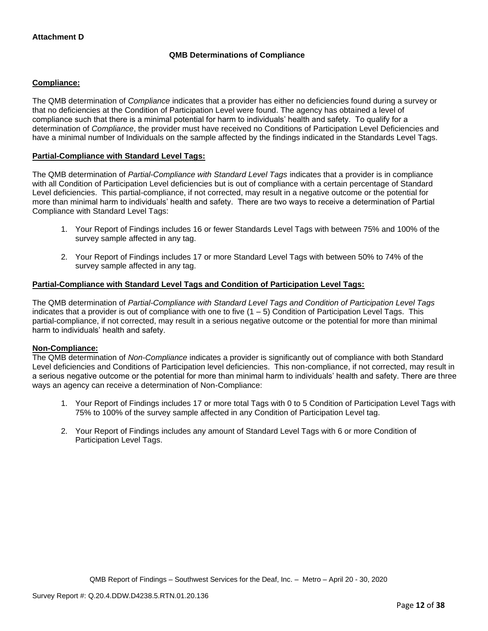# **QMB Determinations of Compliance**

## **Compliance:**

The QMB determination of *Compliance* indicates that a provider has either no deficiencies found during a survey or that no deficiencies at the Condition of Participation Level were found. The agency has obtained a level of compliance such that there is a minimal potential for harm to individuals' health and safety. To qualify for a determination of *Compliance*, the provider must have received no Conditions of Participation Level Deficiencies and have a minimal number of Individuals on the sample affected by the findings indicated in the Standards Level Tags.

## **Partial-Compliance with Standard Level Tags:**

The QMB determination of *Partial-Compliance with Standard Level Tags* indicates that a provider is in compliance with all Condition of Participation Level deficiencies but is out of compliance with a certain percentage of Standard Level deficiencies. This partial-compliance, if not corrected, may result in a negative outcome or the potential for more than minimal harm to individuals' health and safety. There are two ways to receive a determination of Partial Compliance with Standard Level Tags:

- 1. Your Report of Findings includes 16 or fewer Standards Level Tags with between 75% and 100% of the survey sample affected in any tag.
- 2. Your Report of Findings includes 17 or more Standard Level Tags with between 50% to 74% of the survey sample affected in any tag.

## **Partial-Compliance with Standard Level Tags and Condition of Participation Level Tags:**

The QMB determination of *Partial-Compliance with Standard Level Tags and Condition of Participation Level Tags*  indicates that a provider is out of compliance with one to five  $(1 - 5)$  Condition of Participation Level Tags. This partial-compliance, if not corrected, may result in a serious negative outcome or the potential for more than minimal harm to individuals' health and safety.

## **Non-Compliance:**

The QMB determination of *Non-Compliance* indicates a provider is significantly out of compliance with both Standard Level deficiencies and Conditions of Participation level deficiencies. This non-compliance, if not corrected, may result in a serious negative outcome or the potential for more than minimal harm to individuals' health and safety. There are three ways an agency can receive a determination of Non-Compliance:

- 1. Your Report of Findings includes 17 or more total Tags with 0 to 5 Condition of Participation Level Tags with 75% to 100% of the survey sample affected in any Condition of Participation Level tag.
- 2. Your Report of Findings includes any amount of Standard Level Tags with 6 or more Condition of Participation Level Tags.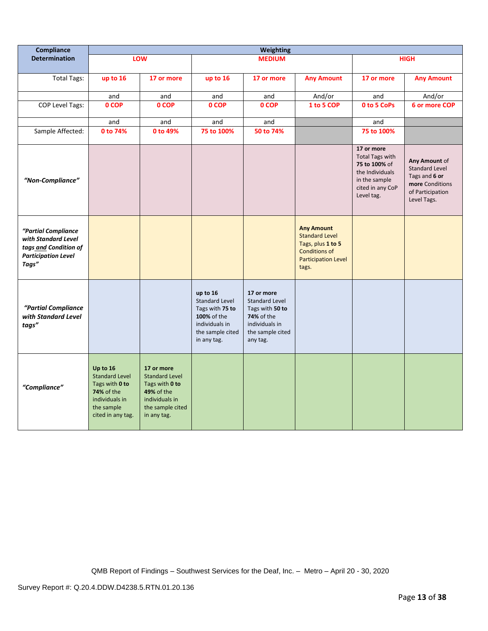| Compliance                                                                                                 |                                                                                                                               |                                                                                                                          |                                                                                                                          | <b>Weighting</b>                                                                                                              |                                                                                                                                |                                                                                                                             |                                                                                                               |
|------------------------------------------------------------------------------------------------------------|-------------------------------------------------------------------------------------------------------------------------------|--------------------------------------------------------------------------------------------------------------------------|--------------------------------------------------------------------------------------------------------------------------|-------------------------------------------------------------------------------------------------------------------------------|--------------------------------------------------------------------------------------------------------------------------------|-----------------------------------------------------------------------------------------------------------------------------|---------------------------------------------------------------------------------------------------------------|
| <b>Determination</b>                                                                                       |                                                                                                                               | LOW                                                                                                                      |                                                                                                                          | <b>MEDIUM</b>                                                                                                                 |                                                                                                                                |                                                                                                                             | <b>HIGH</b>                                                                                                   |
| <b>Total Tags:</b>                                                                                         | up to 16                                                                                                                      | 17 or more                                                                                                               | up to 16                                                                                                                 | 17 or more                                                                                                                    | <b>Any Amount</b>                                                                                                              | 17 or more                                                                                                                  | <b>Any Amount</b>                                                                                             |
|                                                                                                            | and                                                                                                                           | and                                                                                                                      | and                                                                                                                      | and                                                                                                                           | And/or                                                                                                                         | and                                                                                                                         | And/or                                                                                                        |
| <b>COP Level Tags:</b>                                                                                     | 0 COP                                                                                                                         | 0 COP                                                                                                                    | 0 COP                                                                                                                    | 0 COP                                                                                                                         | 1 to 5 COP                                                                                                                     | 0 to 5 CoPs                                                                                                                 | 6 or more COP                                                                                                 |
|                                                                                                            | and                                                                                                                           | and                                                                                                                      | and                                                                                                                      | and                                                                                                                           |                                                                                                                                | and                                                                                                                         |                                                                                                               |
| Sample Affected:                                                                                           | 0 to 74%                                                                                                                      | 0 to 49%                                                                                                                 | 75 to 100%                                                                                                               | 50 to 74%                                                                                                                     |                                                                                                                                | 75 to 100%                                                                                                                  |                                                                                                               |
| "Non-Compliance"                                                                                           |                                                                                                                               |                                                                                                                          |                                                                                                                          |                                                                                                                               |                                                                                                                                | 17 or more<br><b>Total Tags with</b><br>75 to 100% of<br>the Individuals<br>in the sample<br>cited in any CoP<br>Level tag. | Any Amount of<br><b>Standard Level</b><br>Tags and 6 or<br>more Conditions<br>of Participation<br>Level Tags. |
| "Partial Compliance<br>with Standard Level<br>tags and Condition of<br><b>Participation Level</b><br>Tags" |                                                                                                                               |                                                                                                                          |                                                                                                                          |                                                                                                                               | <b>Any Amount</b><br><b>Standard Level</b><br>Tags, plus 1 to 5<br><b>Conditions of</b><br><b>Participation Level</b><br>tags. |                                                                                                                             |                                                                                                               |
| "Partial Compliance<br>with Standard Level<br>tags"                                                        |                                                                                                                               |                                                                                                                          | up to 16<br><b>Standard Level</b><br>Tags with 75 to<br>100% of the<br>individuals in<br>the sample cited<br>in any tag. | 17 or more<br><b>Standard Level</b><br>Tags with 50 to<br><b>74%</b> of the<br>individuals in<br>the sample cited<br>any tag. |                                                                                                                                |                                                                                                                             |                                                                                                               |
| "Compliance"                                                                                               | Up to 16<br><b>Standard Level</b><br>Tags with 0 to<br><b>74% of the</b><br>individuals in<br>the sample<br>cited in any tag. | 17 or more<br><b>Standard Level</b><br>Tags with 0 to<br>49% of the<br>individuals in<br>the sample cited<br>in any tag. |                                                                                                                          |                                                                                                                               |                                                                                                                                |                                                                                                                             |                                                                                                               |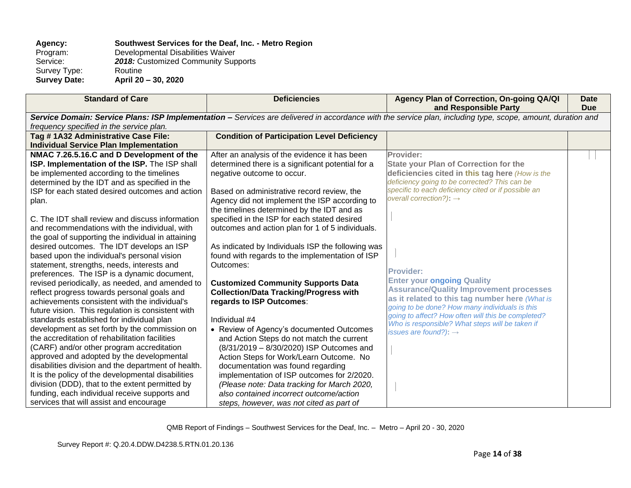# Agency: **Southwest Services for the Deaf, Inc. - Metro Region**<br>Program: Developmental Disabilities Waiver

Program: Developmental Disabilities Waiver<br>Service: 2018: Customized Community Sup 2018: Customized Community Supports<br>Routine Survey Type:<br>Survey Date:

**Survey Date: April 20 – 30, 2020**

| <b>Standard of Care</b>                             | <b>Deficiencies</b>                                | Agency Plan of Correction, On-going QA/QI<br>and Responsible Party                                                                                          | <b>Date</b><br><b>Due</b> |
|-----------------------------------------------------|----------------------------------------------------|-------------------------------------------------------------------------------------------------------------------------------------------------------------|---------------------------|
|                                                     |                                                    | Service Domain: Service Plans: ISP Implementation - Services are delivered in accordance with the service plan, including type, scope, amount, duration and |                           |
| frequency specified in the service plan.            |                                                    |                                                                                                                                                             |                           |
| Tag #1A32 Administrative Case File:                 | <b>Condition of Participation Level Deficiency</b> |                                                                                                                                                             |                           |
| <b>Individual Service Plan Implementation</b>       |                                                    |                                                                                                                                                             |                           |
| NMAC 7.26.5.16.C and D Development of the           | After an analysis of the evidence it has been      | Provider:                                                                                                                                                   |                           |
| ISP. Implementation of the ISP. The ISP shall       | determined there is a significant potential for a  | <b>State your Plan of Correction for the</b>                                                                                                                |                           |
| be implemented according to the timelines           | negative outcome to occur.                         | deficiencies cited in this tag here (How is the                                                                                                             |                           |
| determined by the IDT and as specified in the       |                                                    | deficiency going to be corrected? This can be                                                                                                               |                           |
| ISP for each stated desired outcomes and action     | Based on administrative record review, the         | specific to each deficiency cited or if possible an                                                                                                         |                           |
| plan.                                               | Agency did not implement the ISP according to      | overall correction?): $\rightarrow$                                                                                                                         |                           |
|                                                     | the timelines determined by the IDT and as         |                                                                                                                                                             |                           |
| C. The IDT shall review and discuss information     | specified in the ISP for each stated desired       |                                                                                                                                                             |                           |
| and recommendations with the individual, with       | outcomes and action plan for 1 of 5 individuals.   |                                                                                                                                                             |                           |
| the goal of supporting the individual in attaining  |                                                    |                                                                                                                                                             |                           |
| desired outcomes. The IDT develops an ISP           | As indicated by Individuals ISP the following was  |                                                                                                                                                             |                           |
| based upon the individual's personal vision         | found with regards to the implementation of ISP    |                                                                                                                                                             |                           |
| statement, strengths, needs, interests and          | Outcomes:                                          | <b>Provider:</b>                                                                                                                                            |                           |
| preferences. The ISP is a dynamic document,         |                                                    | <b>Enter your ongoing Quality</b>                                                                                                                           |                           |
| revised periodically, as needed, and amended to     | <b>Customized Community Supports Data</b>          | <b>Assurance/Quality Improvement processes</b>                                                                                                              |                           |
| reflect progress towards personal goals and         | <b>Collection/Data Tracking/Progress with</b>      | as it related to this tag number here (What is                                                                                                              |                           |
| achievements consistent with the individual's       | regards to ISP Outcomes:                           | going to be done? How many individuals is this                                                                                                              |                           |
| future vision. This regulation is consistent with   |                                                    | going to affect? How often will this be completed?                                                                                                          |                           |
| standards established for individual plan           | Individual #4                                      | Who is responsible? What steps will be taken if                                                                                                             |                           |
| development as set forth by the commission on       | • Review of Agency's documented Outcomes           | issues are found?): $\rightarrow$                                                                                                                           |                           |
| the accreditation of rehabilitation facilities      | and Action Steps do not match the current          |                                                                                                                                                             |                           |
| (CARF) and/or other program accreditation           | (8/31/2019 - 8/30/2020) ISP Outcomes and           |                                                                                                                                                             |                           |
| approved and adopted by the developmental           | Action Steps for Work/Learn Outcome. No            |                                                                                                                                                             |                           |
| disabilities division and the department of health. | documentation was found regarding                  |                                                                                                                                                             |                           |
| It is the policy of the developmental disabilities  | implementation of ISP outcomes for 2/2020.         |                                                                                                                                                             |                           |
| division (DDD), that to the extent permitted by     | (Please note: Data tracking for March 2020,        |                                                                                                                                                             |                           |
| funding, each individual receive supports and       | also contained incorrect outcome/action            |                                                                                                                                                             |                           |
| services that will assist and encourage             | steps, however, was not cited as part of           |                                                                                                                                                             |                           |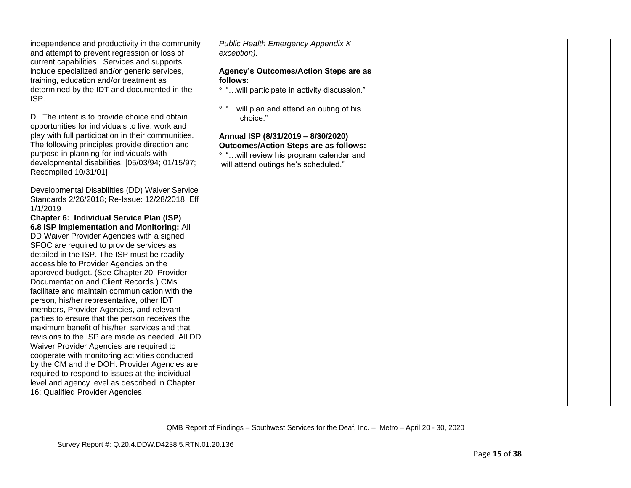| independence and productivity in the community<br>and attempt to prevent regression or loss of<br>current capabilities. Services and supports<br>include specialized and/or generic services,<br>training, education and/or treatment as<br>determined by the IDT and documented in the<br>ISP.<br>D. The intent is to provide choice and obtain<br>opportunities for individuals to live, work and<br>play with full participation in their communities.<br>The following principles provide direction and<br>purpose in planning for individuals with<br>developmental disabilities. [05/03/94; 01/15/97;<br>Recompiled 10/31/01]<br>Developmental Disabilities (DD) Waiver Service<br>Standards 2/26/2018; Re-Issue: 12/28/2018; Eff<br>1/1/2019<br>Chapter 6: Individual Service Plan (ISP)<br>6.8 ISP Implementation and Monitoring: All<br>DD Waiver Provider Agencies with a signed<br>SFOC are required to provide services as<br>detailed in the ISP. The ISP must be readily<br>accessible to Provider Agencies on the<br>approved budget. (See Chapter 20: Provider<br>Documentation and Client Records.) CMs<br>facilitate and maintain communication with the<br>person, his/her representative, other IDT<br>members, Provider Agencies, and relevant<br>parties to ensure that the person receives the<br>maximum benefit of his/her services and that<br>revisions to the ISP are made as needed. All DD<br>Waiver Provider Agencies are required to<br>cooperate with monitoring activities conducted<br>by the CM and the DOH. Provider Agencies are<br>required to respond to issues at the individual<br>level and agency level as described in Chapter<br>16: Qualified Provider Agencies. | Public Health Emergency Appendix K<br>exception).<br>Agency's Outcomes/Action Steps are as<br>follows:<br>° " will participate in activity discussion."<br>° "will plan and attend an outing of his<br>choice."<br>Annual ISP (8/31/2019 - 8/30/2020)<br><b>Outcomes/Action Steps are as follows:</b><br>° "will review his program calendar and<br>will attend outings he's scheduled." |  |  |
|-----------------------------------------------------------------------------------------------------------------------------------------------------------------------------------------------------------------------------------------------------------------------------------------------------------------------------------------------------------------------------------------------------------------------------------------------------------------------------------------------------------------------------------------------------------------------------------------------------------------------------------------------------------------------------------------------------------------------------------------------------------------------------------------------------------------------------------------------------------------------------------------------------------------------------------------------------------------------------------------------------------------------------------------------------------------------------------------------------------------------------------------------------------------------------------------------------------------------------------------------------------------------------------------------------------------------------------------------------------------------------------------------------------------------------------------------------------------------------------------------------------------------------------------------------------------------------------------------------------------------------------------------------------------------------------------------------------------|------------------------------------------------------------------------------------------------------------------------------------------------------------------------------------------------------------------------------------------------------------------------------------------------------------------------------------------------------------------------------------------|--|--|
|-----------------------------------------------------------------------------------------------------------------------------------------------------------------------------------------------------------------------------------------------------------------------------------------------------------------------------------------------------------------------------------------------------------------------------------------------------------------------------------------------------------------------------------------------------------------------------------------------------------------------------------------------------------------------------------------------------------------------------------------------------------------------------------------------------------------------------------------------------------------------------------------------------------------------------------------------------------------------------------------------------------------------------------------------------------------------------------------------------------------------------------------------------------------------------------------------------------------------------------------------------------------------------------------------------------------------------------------------------------------------------------------------------------------------------------------------------------------------------------------------------------------------------------------------------------------------------------------------------------------------------------------------------------------------------------------------------------------|------------------------------------------------------------------------------------------------------------------------------------------------------------------------------------------------------------------------------------------------------------------------------------------------------------------------------------------------------------------------------------------|--|--|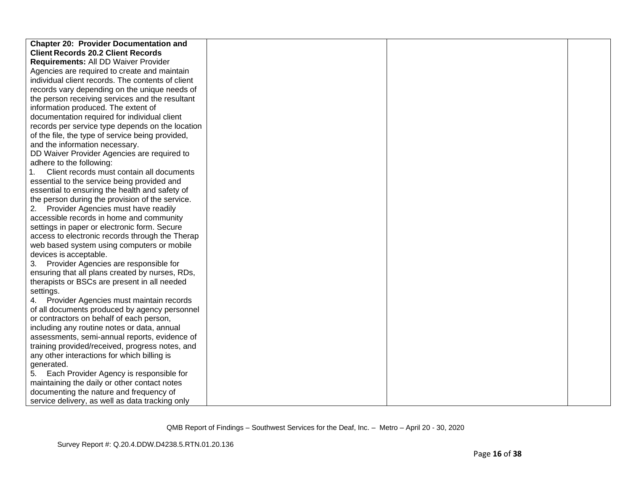| <b>Chapter 20: Provider Documentation and</b>     |  |  |
|---------------------------------------------------|--|--|
| <b>Client Records 20.2 Client Records</b>         |  |  |
| Requirements: All DD Waiver Provider              |  |  |
| Agencies are required to create and maintain      |  |  |
| individual client records. The contents of client |  |  |
| records vary depending on the unique needs of     |  |  |
| the person receiving services and the resultant   |  |  |
| information produced. The extent of               |  |  |
| documentation required for individual client      |  |  |
| records per service type depends on the location  |  |  |
| of the file, the type of service being provided,  |  |  |
| and the information necessary.                    |  |  |
| DD Waiver Provider Agencies are required to       |  |  |
| adhere to the following:                          |  |  |
| Client records must contain all documents         |  |  |
| essential to the service being provided and       |  |  |
| essential to ensuring the health and safety of    |  |  |
| the person during the provision of the service.   |  |  |
| Provider Agencies must have readily<br>2.         |  |  |
| accessible records in home and community          |  |  |
| settings in paper or electronic form. Secure      |  |  |
| access to electronic records through the Therap   |  |  |
| web based system using computers or mobile        |  |  |
| devices is acceptable.                            |  |  |
| Provider Agencies are responsible for<br>3.       |  |  |
| ensuring that all plans created by nurses, RDs,   |  |  |
| therapists or BSCs are present in all needed      |  |  |
| settings.                                         |  |  |
| 4. Provider Agencies must maintain records        |  |  |
| of all documents produced by agency personnel     |  |  |
| or contractors on behalf of each person,          |  |  |
| including any routine notes or data, annual       |  |  |
| assessments, semi-annual reports, evidence of     |  |  |
| training provided/received, progress notes, and   |  |  |
| any other interactions for which billing is       |  |  |
| generated.                                        |  |  |
| Each Provider Agency is responsible for<br>5.     |  |  |
| maintaining the daily or other contact notes      |  |  |
| documenting the nature and frequency of           |  |  |
| service delivery, as well as data tracking only   |  |  |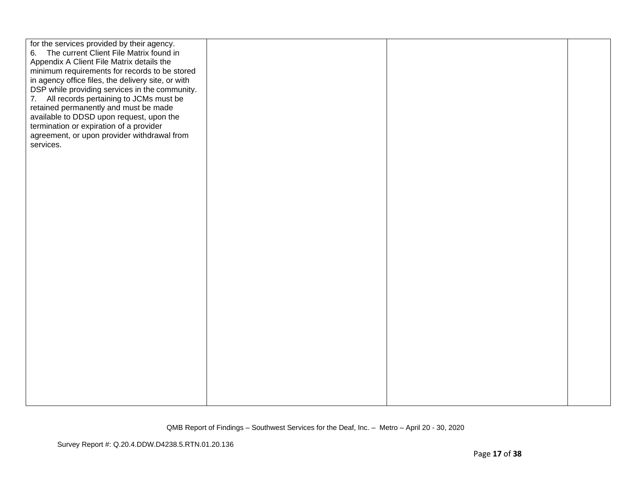| for the services provided by their agency.<br>6. The current Client File Matrix found in<br>Appendix A Client File Matrix details the<br>minimum requirements for records to be stored<br>in agency office files, the delivery site, or with<br>DSP while providing services in the community.<br>7. All records pertaining to JCMs must be<br>retained permanently and must be made<br>available to DDSD upon request, upon the<br>termination or expiration of a provider<br>agreement, or upon provider withdrawal from<br>services. |  |  |
|-----------------------------------------------------------------------------------------------------------------------------------------------------------------------------------------------------------------------------------------------------------------------------------------------------------------------------------------------------------------------------------------------------------------------------------------------------------------------------------------------------------------------------------------|--|--|
|                                                                                                                                                                                                                                                                                                                                                                                                                                                                                                                                         |  |  |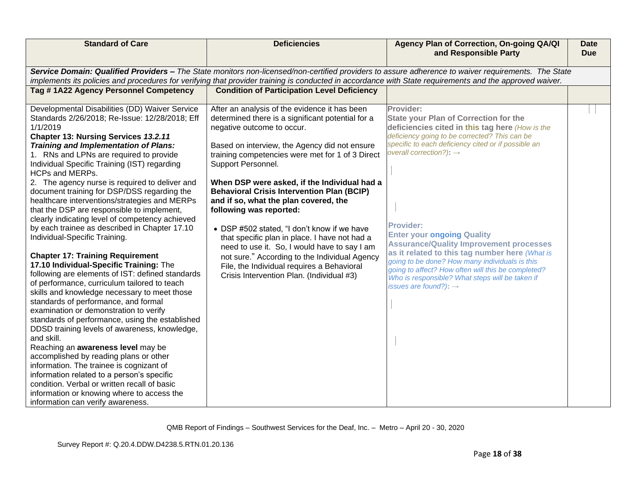| Service Domain: Qualified Providers - The State monitors non-licensed/non-certified providers to assure adherence to waiver requirements. The State<br>implements its policies and procedures for verifying that provider training is conducted in accordance with State requirements and the approved waiver.<br>Tag #1A22 Agency Personnel Competency<br><b>Condition of Participation Level Deficiency</b><br>Developmental Disabilities (DD) Waiver Service<br>After an analysis of the evidence it has been<br>Provider:<br>Standards 2/26/2018; Re-Issue: 12/28/2018; Eff<br>determined there is a significant potential for a<br><b>State your Plan of Correction for the</b>                                                                                                                                                                                                                                                                                                                                                                                                                                                                                                                                                                                                                                                                                                                                                                                                                                                                                                                                                                                                                                                                                                                                                                                                                                                                                                                                                                                                                                                                                                                                                                                                                                                                                                                                                                                                                        | <b>Due</b> |
|-------------------------------------------------------------------------------------------------------------------------------------------------------------------------------------------------------------------------------------------------------------------------------------------------------------------------------------------------------------------------------------------------------------------------------------------------------------------------------------------------------------------------------------------------------------------------------------------------------------------------------------------------------------------------------------------------------------------------------------------------------------------------------------------------------------------------------------------------------------------------------------------------------------------------------------------------------------------------------------------------------------------------------------------------------------------------------------------------------------------------------------------------------------------------------------------------------------------------------------------------------------------------------------------------------------------------------------------------------------------------------------------------------------------------------------------------------------------------------------------------------------------------------------------------------------------------------------------------------------------------------------------------------------------------------------------------------------------------------------------------------------------------------------------------------------------------------------------------------------------------------------------------------------------------------------------------------------------------------------------------------------------------------------------------------------------------------------------------------------------------------------------------------------------------------------------------------------------------------------------------------------------------------------------------------------------------------------------------------------------------------------------------------------------------------------------------------------------------------------------------------------|------------|
|                                                                                                                                                                                                                                                                                                                                                                                                                                                                                                                                                                                                                                                                                                                                                                                                                                                                                                                                                                                                                                                                                                                                                                                                                                                                                                                                                                                                                                                                                                                                                                                                                                                                                                                                                                                                                                                                                                                                                                                                                                                                                                                                                                                                                                                                                                                                                                                                                                                                                                             |            |
|                                                                                                                                                                                                                                                                                                                                                                                                                                                                                                                                                                                                                                                                                                                                                                                                                                                                                                                                                                                                                                                                                                                                                                                                                                                                                                                                                                                                                                                                                                                                                                                                                                                                                                                                                                                                                                                                                                                                                                                                                                                                                                                                                                                                                                                                                                                                                                                                                                                                                                             |            |
|                                                                                                                                                                                                                                                                                                                                                                                                                                                                                                                                                                                                                                                                                                                                                                                                                                                                                                                                                                                                                                                                                                                                                                                                                                                                                                                                                                                                                                                                                                                                                                                                                                                                                                                                                                                                                                                                                                                                                                                                                                                                                                                                                                                                                                                                                                                                                                                                                                                                                                             |            |
| 1/1/2019<br>negative outcome to occur.<br>deficiencies cited in this tag here (How is the<br>deficiency going to be corrected? This can be<br>Chapter 13: Nursing Services 13.2.11<br>specific to each deficiency cited or if possible an<br><b>Training and Implementation of Plans:</b><br>Based on interview, the Agency did not ensure<br>overall correction?): $\rightarrow$<br>1. RNs and LPNs are required to provide<br>training competencies were met for 1 of 3 Direct<br>Individual Specific Training (IST) regarding<br>Support Personnel.<br>HCPs and MERPs.<br>2. The agency nurse is required to deliver and<br>When DSP were asked, if the Individual had a<br><b>Behavioral Crisis Intervention Plan (BCIP)</b><br>document training for DSP/DSS regarding the<br>healthcare interventions/strategies and MERPs<br>and if so, what the plan covered, the<br>following was reported:<br>that the DSP are responsible to implement,<br>clearly indicating level of competency achieved<br><b>Provider:</b><br>by each trainee as described in Chapter 17.10<br>• DSP #502 stated, "I don't know if we have<br><b>Enter your ongoing Quality</b><br>Individual-Specific Training.<br>that specific plan in place. I have not had a<br><b>Assurance/Quality Improvement processes</b><br>need to use it. So, I would have to say I am<br>as it related to this tag number here (What is<br><b>Chapter 17: Training Requirement</b><br>not sure." According to the Individual Agency<br>going to be done? How many individuals is this<br>17.10 Individual-Specific Training: The<br>File, the Individual requires a Behavioral<br>going to affect? How often will this be completed?<br>following are elements of IST: defined standards<br>Crisis Intervention Plan. (Individual #3)<br>Who is responsible? What steps will be taken if<br>of performance, curriculum tailored to teach<br>issues are found?): $\rightarrow$<br>skills and knowledge necessary to meet those<br>standards of performance, and formal<br>examination or demonstration to verify<br>standards of performance, using the established<br>DDSD training levels of awareness, knowledge,<br>and skill.<br>Reaching an awareness level may be<br>accomplished by reading plans or other<br>information. The trainee is cognizant of<br>information related to a person's specific<br>condition. Verbal or written recall of basic<br>information or knowing where to access the<br>information can verify awareness. |            |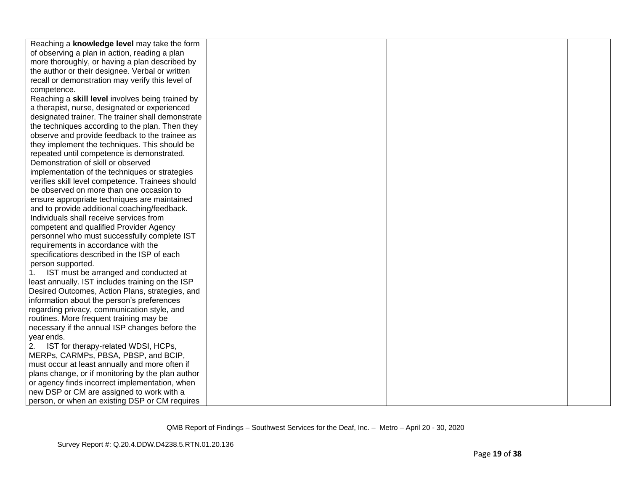| Reaching a knowledge level may take the form      |  |  |
|---------------------------------------------------|--|--|
| of observing a plan in action, reading a plan     |  |  |
| more thoroughly, or having a plan described by    |  |  |
| the author or their designee. Verbal or written   |  |  |
| recall or demonstration may verify this level of  |  |  |
|                                                   |  |  |
| competence.                                       |  |  |
| Reaching a skill level involves being trained by  |  |  |
| a therapist, nurse, designated or experienced     |  |  |
| designated trainer. The trainer shall demonstrate |  |  |
| the techniques according to the plan. Then they   |  |  |
| observe and provide feedback to the trainee as    |  |  |
| they implement the techniques. This should be     |  |  |
| repeated until competence is demonstrated.        |  |  |
| Demonstration of skill or observed                |  |  |
| implementation of the techniques or strategies    |  |  |
| verifies skill level competence. Trainees should  |  |  |
| be observed on more than one occasion to          |  |  |
| ensure appropriate techniques are maintained      |  |  |
| and to provide additional coaching/feedback.      |  |  |
| Individuals shall receive services from           |  |  |
| competent and qualified Provider Agency           |  |  |
| personnel who must successfully complete IST      |  |  |
| requirements in accordance with the               |  |  |
| specifications described in the ISP of each       |  |  |
| person supported.                                 |  |  |
| IST must be arranged and conducted at             |  |  |
| least annually. IST includes training on the ISP  |  |  |
| Desired Outcomes, Action Plans, strategies, and   |  |  |
| information about the person's preferences        |  |  |
| regarding privacy, communication style, and       |  |  |
| routines. More frequent training may be           |  |  |
| necessary if the annual ISP changes before the    |  |  |
| year ends.                                        |  |  |
| IST for therapy-related WDSI, HCPs,<br>2.         |  |  |
| MERPs, CARMPs, PBSA, PBSP, and BCIP,              |  |  |
| must occur at least annually and more often if    |  |  |
| plans change, or if monitoring by the plan author |  |  |
| or agency finds incorrect implementation, when    |  |  |
| new DSP or CM are assigned to work with a         |  |  |
| person, or when an existing DSP or CM requires    |  |  |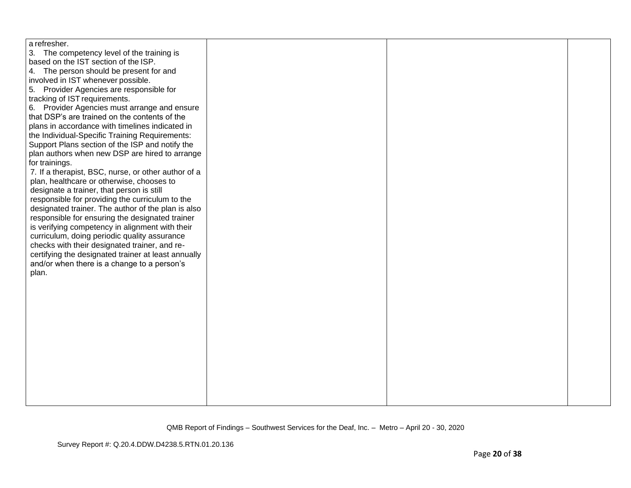| a refresher.                                        |  |  |
|-----------------------------------------------------|--|--|
| 3. The competency level of the training is          |  |  |
| based on the IST section of the ISP.                |  |  |
| 4. The person should be present for and             |  |  |
| involved in IST whenever possible.                  |  |  |
| 5. Provider Agencies are responsible for            |  |  |
| tracking of IST requirements.                       |  |  |
| 6. Provider Agencies must arrange and ensure        |  |  |
| that DSP's are trained on the contents of the       |  |  |
| plans in accordance with timelines indicated in     |  |  |
| the Individual-Specific Training Requirements:      |  |  |
| Support Plans section of the ISP and notify the     |  |  |
| plan authors when new DSP are hired to arrange      |  |  |
| for trainings.                                      |  |  |
| 7. If a therapist, BSC, nurse, or other author of a |  |  |
| plan, healthcare or otherwise, chooses to           |  |  |
| designate a trainer, that person is still           |  |  |
| responsible for providing the curriculum to the     |  |  |
| designated trainer. The author of the plan is also  |  |  |
| responsible for ensuring the designated trainer     |  |  |
| is verifying competency in alignment with their     |  |  |
| curriculum, doing periodic quality assurance        |  |  |
| checks with their designated trainer, and re-       |  |  |
| certifying the designated trainer at least annually |  |  |
| and/or when there is a change to a person's         |  |  |
| plan.                                               |  |  |
|                                                     |  |  |
|                                                     |  |  |
|                                                     |  |  |
|                                                     |  |  |
|                                                     |  |  |
|                                                     |  |  |
|                                                     |  |  |
|                                                     |  |  |
|                                                     |  |  |
|                                                     |  |  |
|                                                     |  |  |
|                                                     |  |  |
|                                                     |  |  |
|                                                     |  |  |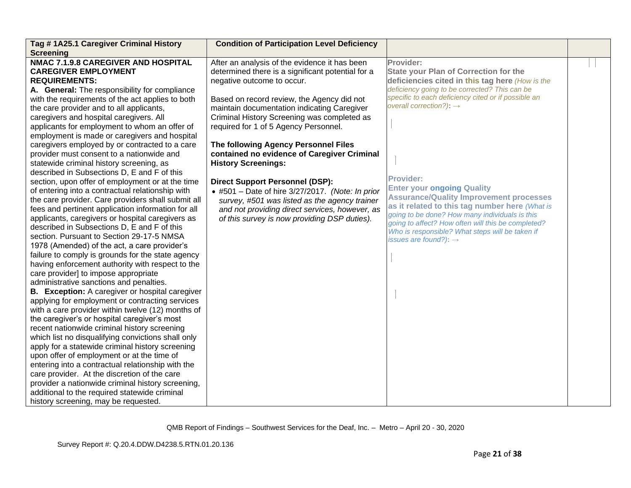| Tag #1A25.1 Caregiver Criminal History                                                                                                                                                                                                                                                                                                                                                                                                                                                                                                                                                                                                                                                                                                                                                                                                                                                                                                                                                                                                                                                                                                                                                                                                                                                                                                                                                                                                                                                                                                                                                                                                                                                                                                                       | <b>Condition of Participation Level Deficiency</b>                                                                                                                                                                                                                                                                                                                                                                                                                                                                                                                                                                                                                                                  |                                                                                                                                                                                                                                                                                                                                                                                                                                                                                                                                                                                                                          |  |
|--------------------------------------------------------------------------------------------------------------------------------------------------------------------------------------------------------------------------------------------------------------------------------------------------------------------------------------------------------------------------------------------------------------------------------------------------------------------------------------------------------------------------------------------------------------------------------------------------------------------------------------------------------------------------------------------------------------------------------------------------------------------------------------------------------------------------------------------------------------------------------------------------------------------------------------------------------------------------------------------------------------------------------------------------------------------------------------------------------------------------------------------------------------------------------------------------------------------------------------------------------------------------------------------------------------------------------------------------------------------------------------------------------------------------------------------------------------------------------------------------------------------------------------------------------------------------------------------------------------------------------------------------------------------------------------------------------------------------------------------------------------|-----------------------------------------------------------------------------------------------------------------------------------------------------------------------------------------------------------------------------------------------------------------------------------------------------------------------------------------------------------------------------------------------------------------------------------------------------------------------------------------------------------------------------------------------------------------------------------------------------------------------------------------------------------------------------------------------------|--------------------------------------------------------------------------------------------------------------------------------------------------------------------------------------------------------------------------------------------------------------------------------------------------------------------------------------------------------------------------------------------------------------------------------------------------------------------------------------------------------------------------------------------------------------------------------------------------------------------------|--|
| <b>Screening</b><br><b>NMAC 7.1.9.8 CAREGIVER AND HOSPITAL</b><br><b>CAREGIVER EMPLOYMENT</b><br><b>REQUIREMENTS:</b><br>A. General: The responsibility for compliance<br>with the requirements of the act applies to both<br>the care provider and to all applicants,<br>caregivers and hospital caregivers. All<br>applicants for employment to whom an offer of<br>employment is made or caregivers and hospital<br>caregivers employed by or contracted to a care<br>provider must consent to a nationwide and<br>statewide criminal history screening, as<br>described in Subsections D, E and F of this<br>section, upon offer of employment or at the time<br>of entering into a contractual relationship with<br>the care provider. Care providers shall submit all<br>fees and pertinent application information for all<br>applicants, caregivers or hospital caregivers as<br>described in Subsections D, E and F of this<br>section. Pursuant to Section 29-17-5 NMSA<br>1978 (Amended) of the act, a care provider's<br>failure to comply is grounds for the state agency<br>having enforcement authority with respect to the<br>care provider] to impose appropriate<br>administrative sanctions and penalties.<br><b>B.</b> Exception: A caregiver or hospital caregiver<br>applying for employment or contracting services<br>with a care provider within twelve (12) months of<br>the caregiver's or hospital caregiver's most<br>recent nationwide criminal history screening<br>which list no disqualifying convictions shall only<br>apply for a statewide criminal history screening<br>upon offer of employment or at the time of<br>entering into a contractual relationship with the<br>care provider. At the discretion of the care | After an analysis of the evidence it has been<br>determined there is a significant potential for a<br>negative outcome to occur.<br>Based on record review, the Agency did not<br>maintain documentation indicating Caregiver<br>Criminal History Screening was completed as<br>required for 1 of 5 Agency Personnel.<br>The following Agency Personnel Files<br>contained no evidence of Caregiver Criminal<br><b>History Screenings:</b><br><b>Direct Support Personnel (DSP):</b><br>$\bullet$ #501 - Date of hire 3/27/2017. (Note: In prior<br>survey, #501 was listed as the agency trainer<br>and not providing direct services, however, as<br>of this survey is now providing DSP duties). | Provider:<br><b>State your Plan of Correction for the</b><br>deficiencies cited in this tag here (How is the<br>deficiency going to be corrected? This can be<br>specific to each deficiency cited or if possible an<br>overall correction?): $\rightarrow$<br><b>Provider:</b><br><b>Enter your ongoing Quality</b><br><b>Assurance/Quality Improvement processes</b><br>as it related to this tag number here (What is<br>going to be done? How many individuals is this<br>going to affect? How often will this be completed?<br>Who is responsible? What steps will be taken if<br>issues are found?): $\rightarrow$ |  |
| provider a nationwide criminal history screening,<br>additional to the required statewide criminal<br>history screening, may be requested.                                                                                                                                                                                                                                                                                                                                                                                                                                                                                                                                                                                                                                                                                                                                                                                                                                                                                                                                                                                                                                                                                                                                                                                                                                                                                                                                                                                                                                                                                                                                                                                                                   |                                                                                                                                                                                                                                                                                                                                                                                                                                                                                                                                                                                                                                                                                                     |                                                                                                                                                                                                                                                                                                                                                                                                                                                                                                                                                                                                                          |  |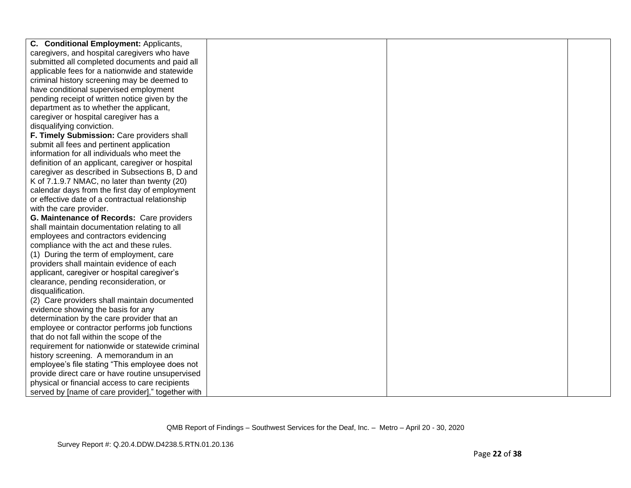| C. Conditional Employment: Applicants,            |  |  |
|---------------------------------------------------|--|--|
| caregivers, and hospital caregivers who have      |  |  |
| submitted all completed documents and paid all    |  |  |
| applicable fees for a nationwide and statewide    |  |  |
| criminal history screening may be deemed to       |  |  |
| have conditional supervised employment            |  |  |
| pending receipt of written notice given by the    |  |  |
| department as to whether the applicant,           |  |  |
| caregiver or hospital caregiver has a             |  |  |
| disqualifying conviction.                         |  |  |
| F. Timely Submission: Care providers shall        |  |  |
| submit all fees and pertinent application         |  |  |
| information for all individuals who meet the      |  |  |
| definition of an applicant, caregiver or hospital |  |  |
| caregiver as described in Subsections B, D and    |  |  |
| K of 7.1.9.7 NMAC, no later than twenty (20)      |  |  |
| calendar days from the first day of employment    |  |  |
| or effective date of a contractual relationship   |  |  |
| with the care provider.                           |  |  |
| G. Maintenance of Records: Care providers         |  |  |
| shall maintain documentation relating to all      |  |  |
| employees and contractors evidencing              |  |  |
| compliance with the act and these rules.          |  |  |
| (1) During the term of employment, care           |  |  |
| providers shall maintain evidence of each         |  |  |
| applicant, caregiver or hospital caregiver's      |  |  |
| clearance, pending reconsideration, or            |  |  |
| disqualification.                                 |  |  |
| (2) Care providers shall maintain documented      |  |  |
| evidence showing the basis for any                |  |  |
| determination by the care provider that an        |  |  |
| employee or contractor performs job functions     |  |  |
| that do not fall within the scope of the          |  |  |
| requirement for nationwide or statewide criminal  |  |  |
| history screening. A memorandum in an             |  |  |
| employee's file stating "This employee does not   |  |  |
| provide direct care or have routine unsupervised  |  |  |
| physical or financial access to care recipients   |  |  |
| served by [name of care provider]," together with |  |  |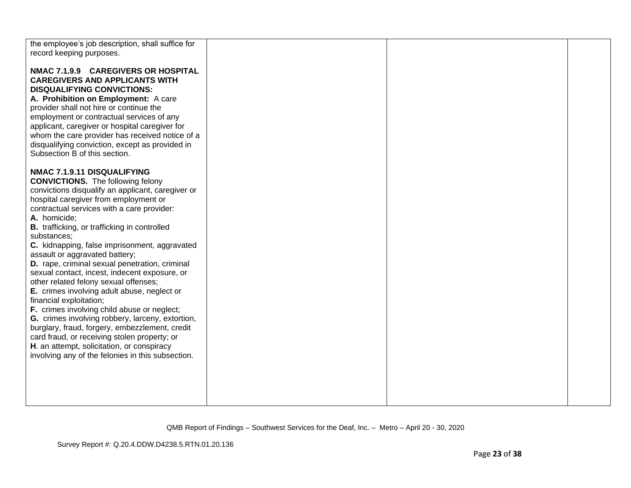| the employee's job description, shall suffice for |  |  |
|---------------------------------------------------|--|--|
|                                                   |  |  |
| record keeping purposes.                          |  |  |
|                                                   |  |  |
| NMAC 7.1.9.9 CAREGIVERS OR HOSPITAL               |  |  |
| <b>CAREGIVERS AND APPLICANTS WITH</b>             |  |  |
| <b>DISQUALIFYING CONVICTIONS:</b>                 |  |  |
|                                                   |  |  |
| A. Prohibition on Employment: A care              |  |  |
| provider shall not hire or continue the           |  |  |
| employment or contractual services of any         |  |  |
| applicant, caregiver or hospital caregiver for    |  |  |
| whom the care provider has received notice of a   |  |  |
| disqualifying conviction, except as provided in   |  |  |
| Subsection B of this section.                     |  |  |
|                                                   |  |  |
|                                                   |  |  |
| NMAC 7.1.9.11 DISQUALIFYING                       |  |  |
| <b>CONVICTIONS.</b> The following felony          |  |  |
| convictions disqualify an applicant, caregiver or |  |  |
| hospital caregiver from employment or             |  |  |
| contractual services with a care provider:        |  |  |
| A. homicide;                                      |  |  |
|                                                   |  |  |
| B. trafficking, or trafficking in controlled      |  |  |
| substances;                                       |  |  |
| C. kidnapping, false imprisonment, aggravated     |  |  |
| assault or aggravated battery;                    |  |  |
| D. rape, criminal sexual penetration, criminal    |  |  |
| sexual contact, incest, indecent exposure, or     |  |  |
| other related felony sexual offenses;             |  |  |
| E. crimes involving adult abuse, neglect or       |  |  |
| financial exploitation;                           |  |  |
|                                                   |  |  |
| F. crimes involving child abuse or neglect;       |  |  |
| G. crimes involving robbery, larceny, extortion,  |  |  |
| burglary, fraud, forgery, embezzlement, credit    |  |  |
| card fraud, or receiving stolen property; or      |  |  |
| H. an attempt, solicitation, or conspiracy        |  |  |
| involving any of the felonies in this subsection. |  |  |
|                                                   |  |  |
|                                                   |  |  |
|                                                   |  |  |
|                                                   |  |  |
|                                                   |  |  |
|                                                   |  |  |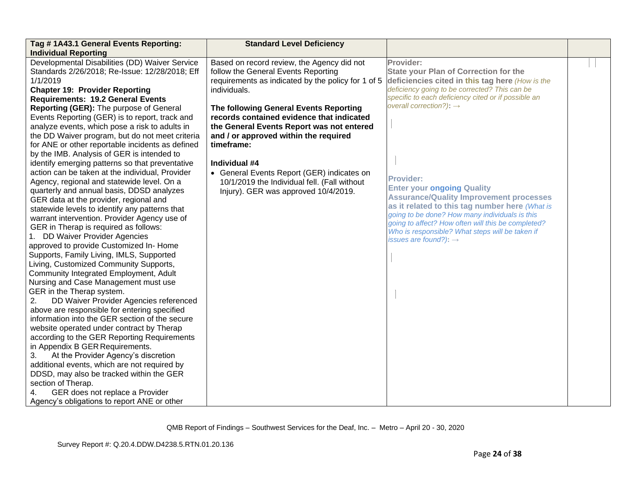| Tag #1A43.1 General Events Reporting:                                                                                                                                                                                                                                                                                                                                                                                                                                                                                                                                                                                                                                                                                                                                                                                                                                                                                                                                                                                                              | <b>Standard Level Deficiency</b>                                                                                                                                                                                                                                                                                                                                                                                                                                                                          |                                                                                                                                                                                                                                                                                                                                                                                                                                                                                                                                                                                                                          |  |
|----------------------------------------------------------------------------------------------------------------------------------------------------------------------------------------------------------------------------------------------------------------------------------------------------------------------------------------------------------------------------------------------------------------------------------------------------------------------------------------------------------------------------------------------------------------------------------------------------------------------------------------------------------------------------------------------------------------------------------------------------------------------------------------------------------------------------------------------------------------------------------------------------------------------------------------------------------------------------------------------------------------------------------------------------|-----------------------------------------------------------------------------------------------------------------------------------------------------------------------------------------------------------------------------------------------------------------------------------------------------------------------------------------------------------------------------------------------------------------------------------------------------------------------------------------------------------|--------------------------------------------------------------------------------------------------------------------------------------------------------------------------------------------------------------------------------------------------------------------------------------------------------------------------------------------------------------------------------------------------------------------------------------------------------------------------------------------------------------------------------------------------------------------------------------------------------------------------|--|
| <b>Individual Reporting</b><br>Developmental Disabilities (DD) Waiver Service<br>Standards 2/26/2018; Re-Issue: 12/28/2018; Eff<br>1/1/2019<br><b>Chapter 19: Provider Reporting</b><br><b>Requirements: 19.2 General Events</b><br>Reporting (GER): The purpose of General<br>Events Reporting (GER) is to report, track and<br>analyze events, which pose a risk to adults in<br>the DD Waiver program, but do not meet criteria<br>for ANE or other reportable incidents as defined<br>by the IMB. Analysis of GER is intended to<br>identify emerging patterns so that preventative<br>action can be taken at the individual, Provider<br>Agency, regional and statewide level. On a<br>quarterly and annual basis, DDSD analyzes<br>GER data at the provider, regional and<br>statewide levels to identify any patterns that<br>warrant intervention. Provider Agency use of<br>GER in Therap is required as follows:<br>1. DD Waiver Provider Agencies<br>approved to provide Customized In-Home<br>Supports, Family Living, IMLS, Supported | Based on record review, the Agency did not<br>follow the General Events Reporting<br>requirements as indicated by the policy for 1 of 5<br>individuals.<br>The following General Events Reporting<br>records contained evidence that indicated<br>the General Events Report was not entered<br>and / or approved within the required<br>timeframe:<br>Individual #4<br>• General Events Report (GER) indicates on<br>10/1/2019 the Individual fell. (Fall without<br>Injury). GER was approved 10/4/2019. | Provider:<br><b>State your Plan of Correction for the</b><br>deficiencies cited in this tag here (How is the<br>deficiency going to be corrected? This can be<br>specific to each deficiency cited or if possible an<br>overall correction?): $\rightarrow$<br><b>Provider:</b><br><b>Enter your ongoing Quality</b><br><b>Assurance/Quality Improvement processes</b><br>as it related to this tag number here (What is<br>going to be done? How many individuals is this<br>going to affect? How often will this be completed?<br>Who is responsible? What steps will be taken if<br>issues are found?): $\rightarrow$ |  |
|                                                                                                                                                                                                                                                                                                                                                                                                                                                                                                                                                                                                                                                                                                                                                                                                                                                                                                                                                                                                                                                    |                                                                                                                                                                                                                                                                                                                                                                                                                                                                                                           |                                                                                                                                                                                                                                                                                                                                                                                                                                                                                                                                                                                                                          |  |
| Living, Customized Community Supports,<br>Community Integrated Employment, Adult<br>Nursing and Case Management must use<br>GER in the Therap system.<br>DD Waiver Provider Agencies referenced<br>2.                                                                                                                                                                                                                                                                                                                                                                                                                                                                                                                                                                                                                                                                                                                                                                                                                                              |                                                                                                                                                                                                                                                                                                                                                                                                                                                                                                           |                                                                                                                                                                                                                                                                                                                                                                                                                                                                                                                                                                                                                          |  |
| above are responsible for entering specified<br>information into the GER section of the secure<br>website operated under contract by Therap<br>according to the GER Reporting Requirements<br>in Appendix B GER Requirements.                                                                                                                                                                                                                                                                                                                                                                                                                                                                                                                                                                                                                                                                                                                                                                                                                      |                                                                                                                                                                                                                                                                                                                                                                                                                                                                                                           |                                                                                                                                                                                                                                                                                                                                                                                                                                                                                                                                                                                                                          |  |
| At the Provider Agency's discretion<br>3.<br>additional events, which are not required by<br>DDSD, may also be tracked within the GER<br>section of Therap.<br>GER does not replace a Provider<br>4.<br>Agency's obligations to report ANE or other                                                                                                                                                                                                                                                                                                                                                                                                                                                                                                                                                                                                                                                                                                                                                                                                |                                                                                                                                                                                                                                                                                                                                                                                                                                                                                                           |                                                                                                                                                                                                                                                                                                                                                                                                                                                                                                                                                                                                                          |  |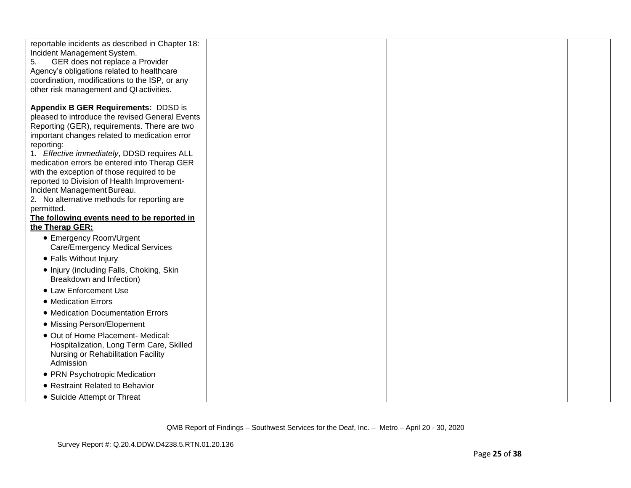| reportable incidents as described in Chapter 18:<br>Incident Management System.<br>GER does not replace a Provider<br>5.<br>Agency's obligations related to healthcare<br>coordination, modifications to the ISP, or any<br>other risk management and QI activities.                                                                                                                                                                                                                                                                          |  |  |
|-----------------------------------------------------------------------------------------------------------------------------------------------------------------------------------------------------------------------------------------------------------------------------------------------------------------------------------------------------------------------------------------------------------------------------------------------------------------------------------------------------------------------------------------------|--|--|
| Appendix B GER Requirements: DDSD is<br>pleased to introduce the revised General Events<br>Reporting (GER), requirements. There are two<br>important changes related to medication error<br>reporting:<br>1. Effective immediately, DDSD requires ALL<br>medication errors be entered into Therap GER<br>with the exception of those required to be<br>reported to Division of Health Improvement-<br>Incident Management Bureau.<br>2. No alternative methods for reporting are<br>permitted.<br>The following events need to be reported in |  |  |
| the Therap GER:<br>• Emergency Room/Urgent                                                                                                                                                                                                                                                                                                                                                                                                                                                                                                    |  |  |
| <b>Care/Emergency Medical Services</b><br>• Falls Without Injury                                                                                                                                                                                                                                                                                                                                                                                                                                                                              |  |  |
| • Injury (including Falls, Choking, Skin<br>Breakdown and Infection)<br>• Law Enforcement Use<br>• Medication Errors                                                                                                                                                                                                                                                                                                                                                                                                                          |  |  |
| • Medication Documentation Errors                                                                                                                                                                                                                                                                                                                                                                                                                                                                                                             |  |  |
| • Missing Person/Elopement                                                                                                                                                                                                                                                                                                                                                                                                                                                                                                                    |  |  |
| • Out of Home Placement- Medical:<br>Hospitalization, Long Term Care, Skilled<br>Nursing or Rehabilitation Facility<br>Admission                                                                                                                                                                                                                                                                                                                                                                                                              |  |  |
| • PRN Psychotropic Medication                                                                                                                                                                                                                                                                                                                                                                                                                                                                                                                 |  |  |
| • Restraint Related to Behavior                                                                                                                                                                                                                                                                                                                                                                                                                                                                                                               |  |  |
| • Suicide Attempt or Threat                                                                                                                                                                                                                                                                                                                                                                                                                                                                                                                   |  |  |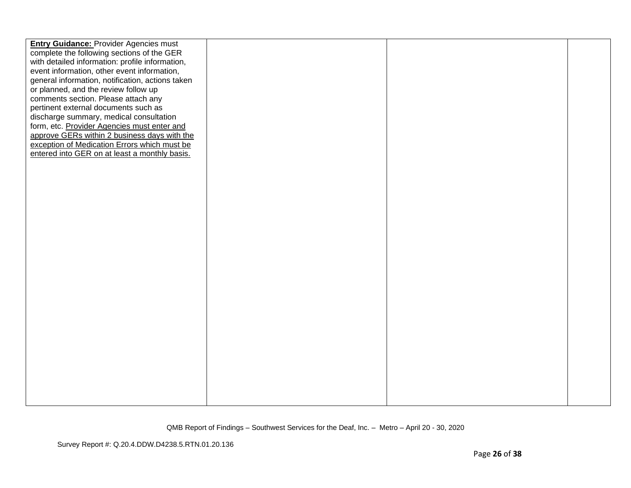| <b>Entry Guidance: Provider Agencies must</b>    |  |  |
|--------------------------------------------------|--|--|
| complete the following sections of the GER       |  |  |
| with detailed information: profile information,  |  |  |
| event information, other event information,      |  |  |
| general information, notification, actions taken |  |  |
| or planned, and the review follow up             |  |  |
| comments section. Please attach any              |  |  |
| pertinent external documents such as             |  |  |
| discharge summary, medical consultation          |  |  |
| form, etc. Provider Agencies must enter and      |  |  |
| approve GERs within 2 business days with the     |  |  |
| exception of Medication Errors which must be     |  |  |
| entered into GER on at least a monthly basis.    |  |  |
|                                                  |  |  |
|                                                  |  |  |
|                                                  |  |  |
|                                                  |  |  |
|                                                  |  |  |
|                                                  |  |  |
|                                                  |  |  |
|                                                  |  |  |
|                                                  |  |  |
|                                                  |  |  |
|                                                  |  |  |
|                                                  |  |  |
|                                                  |  |  |
|                                                  |  |  |
|                                                  |  |  |
|                                                  |  |  |
|                                                  |  |  |
|                                                  |  |  |
|                                                  |  |  |
|                                                  |  |  |
|                                                  |  |  |
|                                                  |  |  |
|                                                  |  |  |
|                                                  |  |  |
|                                                  |  |  |
|                                                  |  |  |
|                                                  |  |  |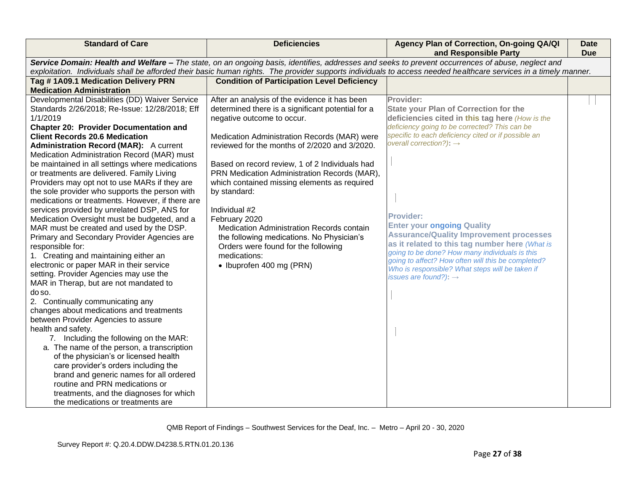| <b>Standard of Care</b>                                                                | <b>Deficiencies</b>                                                                                                                                                                                                                                                                                                   | Agency Plan of Correction, On-going QA/QI<br>and Responsible Party                                   | <b>Date</b><br><b>Due</b> |  |  |
|----------------------------------------------------------------------------------------|-----------------------------------------------------------------------------------------------------------------------------------------------------------------------------------------------------------------------------------------------------------------------------------------------------------------------|------------------------------------------------------------------------------------------------------|---------------------------|--|--|
|                                                                                        | Service Domain: Health and Welfare - The state, on an ongoing basis, identifies, addresses and seeks to prevent occurrences of abuse, neglect and<br>exploitation. Individuals shall be afforded their basic human rights. The provider supports individuals to access needed healthcare services in a timely manner. |                                                                                                      |                           |  |  |
| Tag #1A09.1 Medication Delivery PRN                                                    | <b>Condition of Participation Level Deficiency</b>                                                                                                                                                                                                                                                                    |                                                                                                      |                           |  |  |
| <b>Medication Administration</b>                                                       |                                                                                                                                                                                                                                                                                                                       |                                                                                                      |                           |  |  |
| Developmental Disabilities (DD) Waiver Service                                         | After an analysis of the evidence it has been                                                                                                                                                                                                                                                                         | Provider:                                                                                            |                           |  |  |
| Standards 2/26/2018; Re-Issue: 12/28/2018; Eff                                         | determined there is a significant potential for a                                                                                                                                                                                                                                                                     | <b>State your Plan of Correction for the</b>                                                         |                           |  |  |
| 1/1/2019                                                                               | negative outcome to occur.                                                                                                                                                                                                                                                                                            | deficiencies cited in this tag here (How is the                                                      |                           |  |  |
| <b>Chapter 20: Provider Documentation and</b><br><b>Client Records 20.6 Medication</b> |                                                                                                                                                                                                                                                                                                                       | deficiency going to be corrected? This can be<br>specific to each deficiency cited or if possible an |                           |  |  |
| Administration Record (MAR): A current                                                 | Medication Administration Records (MAR) were<br>reviewed for the months of 2/2020 and 3/2020.                                                                                                                                                                                                                         | overall correction?): $\rightarrow$                                                                  |                           |  |  |
| Medication Administration Record (MAR) must                                            |                                                                                                                                                                                                                                                                                                                       |                                                                                                      |                           |  |  |
| be maintained in all settings where medications                                        | Based on record review, 1 of 2 Individuals had                                                                                                                                                                                                                                                                        |                                                                                                      |                           |  |  |
| or treatments are delivered. Family Living                                             | PRN Medication Administration Records (MAR),                                                                                                                                                                                                                                                                          |                                                                                                      |                           |  |  |
| Providers may opt not to use MARs if they are                                          | which contained missing elements as required                                                                                                                                                                                                                                                                          |                                                                                                      |                           |  |  |
| the sole provider who supports the person with                                         | by standard:                                                                                                                                                                                                                                                                                                          |                                                                                                      |                           |  |  |
| medications or treatments. However, if there are                                       |                                                                                                                                                                                                                                                                                                                       |                                                                                                      |                           |  |  |
| services provided by unrelated DSP, ANS for                                            | Individual #2                                                                                                                                                                                                                                                                                                         |                                                                                                      |                           |  |  |
| Medication Oversight must be budgeted, and a                                           | February 2020                                                                                                                                                                                                                                                                                                         | <b>Provider:</b>                                                                                     |                           |  |  |
| MAR must be created and used by the DSP.                                               | Medication Administration Records contain                                                                                                                                                                                                                                                                             | <b>Enter your ongoing Quality</b>                                                                    |                           |  |  |
| Primary and Secondary Provider Agencies are                                            | the following medications. No Physician's                                                                                                                                                                                                                                                                             | <b>Assurance/Quality Improvement processes</b>                                                       |                           |  |  |
| responsible for:                                                                       | Orders were found for the following                                                                                                                                                                                                                                                                                   | as it related to this tag number here (What is<br>going to be done? How many individuals is this     |                           |  |  |
| 1. Creating and maintaining either an                                                  | medications:                                                                                                                                                                                                                                                                                                          | going to affect? How often will this be completed?                                                   |                           |  |  |
| electronic or paper MAR in their service                                               | • Ibuprofen 400 mg (PRN)                                                                                                                                                                                                                                                                                              | Who is responsible? What steps will be taken if                                                      |                           |  |  |
| setting. Provider Agencies may use the                                                 |                                                                                                                                                                                                                                                                                                                       | issues are found?): $\rightarrow$                                                                    |                           |  |  |
| MAR in Therap, but are not mandated to                                                 |                                                                                                                                                                                                                                                                                                                       |                                                                                                      |                           |  |  |
| do so.                                                                                 |                                                                                                                                                                                                                                                                                                                       |                                                                                                      |                           |  |  |
| 2. Continually communicating any<br>changes about medications and treatments           |                                                                                                                                                                                                                                                                                                                       |                                                                                                      |                           |  |  |
| between Provider Agencies to assure                                                    |                                                                                                                                                                                                                                                                                                                       |                                                                                                      |                           |  |  |
| health and safety.                                                                     |                                                                                                                                                                                                                                                                                                                       |                                                                                                      |                           |  |  |
| 7. Including the following on the MAR:                                                 |                                                                                                                                                                                                                                                                                                                       |                                                                                                      |                           |  |  |
| a. The name of the person, a transcription                                             |                                                                                                                                                                                                                                                                                                                       |                                                                                                      |                           |  |  |
| of the physician's or licensed health                                                  |                                                                                                                                                                                                                                                                                                                       |                                                                                                      |                           |  |  |
| care provider's orders including the                                                   |                                                                                                                                                                                                                                                                                                                       |                                                                                                      |                           |  |  |
| brand and generic names for all ordered                                                |                                                                                                                                                                                                                                                                                                                       |                                                                                                      |                           |  |  |
| routine and PRN medications or                                                         |                                                                                                                                                                                                                                                                                                                       |                                                                                                      |                           |  |  |
| treatments, and the diagnoses for which                                                |                                                                                                                                                                                                                                                                                                                       |                                                                                                      |                           |  |  |
| the medications or treatments are                                                      |                                                                                                                                                                                                                                                                                                                       |                                                                                                      |                           |  |  |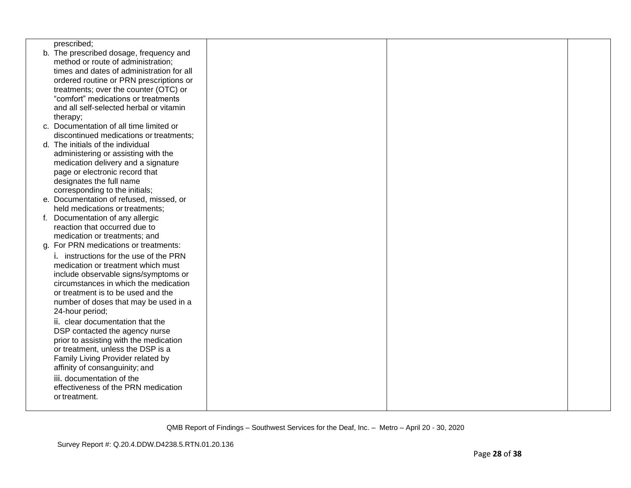| prescribed;                               |  |  |
|-------------------------------------------|--|--|
| b. The prescribed dosage, frequency and   |  |  |
| method or route of administration;        |  |  |
| times and dates of administration for all |  |  |
| ordered routine or PRN prescriptions or   |  |  |
| treatments; over the counter (OTC) or     |  |  |
| "comfort" medications or treatments       |  |  |
| and all self-selected herbal or vitamin   |  |  |
| therapy;                                  |  |  |
| c. Documentation of all time limited or   |  |  |
| discontinued medications or treatments;   |  |  |
| d. The initials of the individual         |  |  |
| administering or assisting with the       |  |  |
| medication delivery and a signature       |  |  |
| page or electronic record that            |  |  |
| designates the full name                  |  |  |
| corresponding to the initials;            |  |  |
| e. Documentation of refused, missed, or   |  |  |
| held medications or treatments;           |  |  |
| f. Documentation of any allergic          |  |  |
| reaction that occurred due to             |  |  |
| medication or treatments; and             |  |  |
| g. For PRN medications or treatments:     |  |  |
| i. instructions for the use of the PRN    |  |  |
| medication or treatment which must        |  |  |
| include observable signs/symptoms or      |  |  |
| circumstances in which the medication     |  |  |
| or treatment is to be used and the        |  |  |
| number of doses that may be used in a     |  |  |
| 24-hour period;                           |  |  |
| ii. clear documentation that the          |  |  |
| DSP contacted the agency nurse            |  |  |
| prior to assisting with the medication    |  |  |
| or treatment, unless the DSP is a         |  |  |
| Family Living Provider related by         |  |  |
| affinity of consanguinity; and            |  |  |
| iii. documentation of the                 |  |  |
| effectiveness of the PRN medication       |  |  |
| or treatment.                             |  |  |
|                                           |  |  |
|                                           |  |  |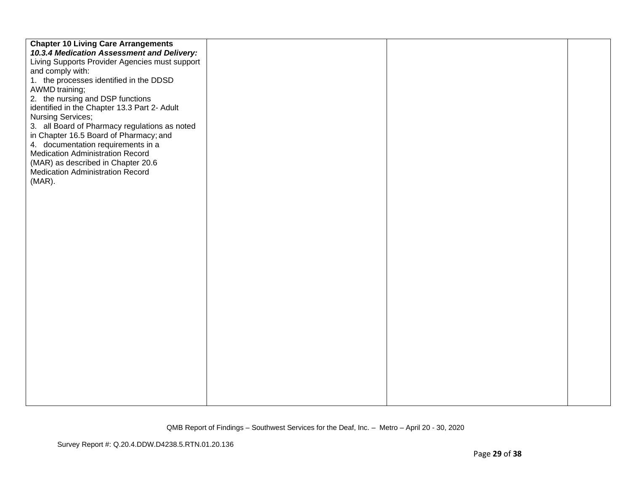| <b>Chapter 10 Living Care Arrangements</b>     |  |  |
|------------------------------------------------|--|--|
| 10.3.4 Medication Assessment and Delivery:     |  |  |
| Living Supports Provider Agencies must support |  |  |
| and comply with:                               |  |  |
| 1. the processes identified in the DDSD        |  |  |
| AWMD training;                                 |  |  |
| 2. the nursing and DSP functions               |  |  |
| identified in the Chapter 13.3 Part 2- Adult   |  |  |
| Nursing Services;                              |  |  |
| 3. all Board of Pharmacy regulations as noted  |  |  |
| in Chapter 16.5 Board of Pharmacy; and         |  |  |
| 4. documentation requirements in a             |  |  |
| <b>Medication Administration Record</b>        |  |  |
| (MAR) as described in Chapter 20.6             |  |  |
| <b>Medication Administration Record</b>        |  |  |
| $(MAR)$ .                                      |  |  |
|                                                |  |  |
|                                                |  |  |
|                                                |  |  |
|                                                |  |  |
|                                                |  |  |
|                                                |  |  |
|                                                |  |  |
|                                                |  |  |
|                                                |  |  |
|                                                |  |  |
|                                                |  |  |
|                                                |  |  |
|                                                |  |  |
|                                                |  |  |
|                                                |  |  |
|                                                |  |  |
|                                                |  |  |
|                                                |  |  |
|                                                |  |  |
|                                                |  |  |
|                                                |  |  |
|                                                |  |  |
|                                                |  |  |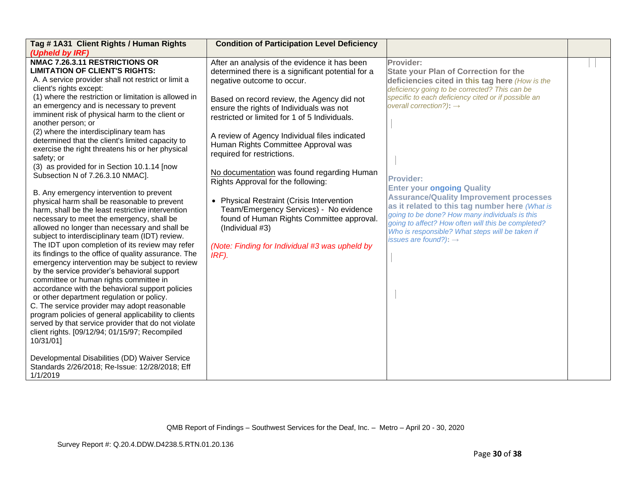| Tag #1A31 Client Rights / Human Rights                                                                                                                                                                                                                                                                                                                                                                                                                                                                                                                                                                                                                                                                                                                                                                                                                                               | <b>Condition of Participation Level Deficiency</b>                                                                                                                                                                                                   |                                                                                                                                                                                                                                                                                                                                       |  |
|--------------------------------------------------------------------------------------------------------------------------------------------------------------------------------------------------------------------------------------------------------------------------------------------------------------------------------------------------------------------------------------------------------------------------------------------------------------------------------------------------------------------------------------------------------------------------------------------------------------------------------------------------------------------------------------------------------------------------------------------------------------------------------------------------------------------------------------------------------------------------------------|------------------------------------------------------------------------------------------------------------------------------------------------------------------------------------------------------------------------------------------------------|---------------------------------------------------------------------------------------------------------------------------------------------------------------------------------------------------------------------------------------------------------------------------------------------------------------------------------------|--|
| (Upheld by IRF)<br>NMAC 7.26.3.11 RESTRICTIONS OR<br><b>LIMITATION OF CLIENT'S RIGHTS:</b><br>A. A service provider shall not restrict or limit a<br>client's rights except:                                                                                                                                                                                                                                                                                                                                                                                                                                                                                                                                                                                                                                                                                                         | After an analysis of the evidence it has been<br>determined there is a significant potential for a<br>negative outcome to occur.                                                                                                                     | Provider:<br><b>State your Plan of Correction for the</b><br>deficiencies cited in this tag here (How is the<br>deficiency going to be corrected? This can be                                                                                                                                                                         |  |
| (1) where the restriction or limitation is allowed in<br>an emergency and is necessary to prevent<br>imminent risk of physical harm to the client or<br>another person; or<br>(2) where the interdisciplinary team has                                                                                                                                                                                                                                                                                                                                                                                                                                                                                                                                                                                                                                                               | Based on record review, the Agency did not<br>ensure the rights of Individuals was not<br>restricted or limited for 1 of 5 Individuals.<br>A review of Agency Individual files indicated                                                             | specific to each deficiency cited or if possible an<br>overall correction?): $\rightarrow$                                                                                                                                                                                                                                            |  |
| determined that the client's limited capacity to<br>exercise the right threatens his or her physical<br>safety; or<br>(3) as provided for in Section 10.1.14 [now<br>Subsection N of 7.26.3.10 NMAC].                                                                                                                                                                                                                                                                                                                                                                                                                                                                                                                                                                                                                                                                                | Human Rights Committee Approval was<br>required for restrictions.<br>No documentation was found regarding Human                                                                                                                                      | <b>Provider:</b>                                                                                                                                                                                                                                                                                                                      |  |
| B. Any emergency intervention to prevent<br>physical harm shall be reasonable to prevent<br>harm, shall be the least restrictive intervention<br>necessary to meet the emergency, shall be<br>allowed no longer than necessary and shall be<br>subject to interdisciplinary team (IDT) review.<br>The IDT upon completion of its review may refer<br>its findings to the office of quality assurance. The<br>emergency intervention may be subject to review<br>by the service provider's behavioral support<br>committee or human rights committee in<br>accordance with the behavioral support policies<br>or other department regulation or policy.<br>C. The service provider may adopt reasonable<br>program policies of general applicability to clients<br>served by that service provider that do not violate<br>client rights. [09/12/94; 01/15/97; Recompiled<br>10/31/01] | Rights Approval for the following:<br>• Physical Restraint (Crisis Intervention<br>Team/Emergency Services) - No evidence<br>found of Human Rights Committee approval.<br>(Individual #3)<br>(Note: Finding for Individual #3 was upheld by<br>IRF). | <b>Enter your ongoing Quality</b><br><b>Assurance/Quality Improvement processes</b><br>as it related to this tag number here (What is<br>going to be done? How many individuals is this<br>going to affect? How often will this be completed?<br>Who is responsible? What steps will be taken if<br>issues are found?): $\rightarrow$ |  |
| Developmental Disabilities (DD) Waiver Service<br>Standards 2/26/2018; Re-Issue: 12/28/2018; Eff<br>1/1/2019                                                                                                                                                                                                                                                                                                                                                                                                                                                                                                                                                                                                                                                                                                                                                                         |                                                                                                                                                                                                                                                      |                                                                                                                                                                                                                                                                                                                                       |  |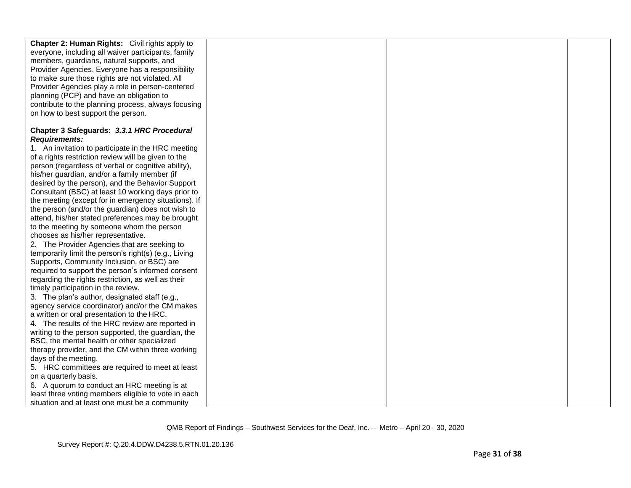| Chapter 2: Human Rights: Civil rights apply to        |  |  |
|-------------------------------------------------------|--|--|
| everyone, including all waiver participants, family   |  |  |
| members, guardians, natural supports, and             |  |  |
| Provider Agencies. Everyone has a responsibility      |  |  |
| to make sure those rights are not violated. All       |  |  |
| Provider Agencies play a role in person-centered      |  |  |
| planning (PCP) and have an obligation to              |  |  |
| contribute to the planning process, always focusing   |  |  |
| on how to best support the person.                    |  |  |
|                                                       |  |  |
| Chapter 3 Safeguards: 3.3.1 HRC Procedural            |  |  |
| <b>Requirements:</b>                                  |  |  |
| 1. An invitation to participate in the HRC meeting    |  |  |
| of a rights restriction review will be given to the   |  |  |
| person (regardless of verbal or cognitive ability),   |  |  |
| his/her guardian, and/or a family member (if          |  |  |
| desired by the person), and the Behavior Support      |  |  |
| Consultant (BSC) at least 10 working days prior to    |  |  |
| the meeting (except for in emergency situations). If  |  |  |
| the person (and/or the guardian) does not wish to     |  |  |
| attend, his/her stated preferences may be brought     |  |  |
| to the meeting by someone whom the person             |  |  |
| chooses as his/her representative.                    |  |  |
| 2. The Provider Agencies that are seeking to          |  |  |
| temporarily limit the person's right(s) (e.g., Living |  |  |
| Supports, Community Inclusion, or BSC) are            |  |  |
| required to support the person's informed consent     |  |  |
| regarding the rights restriction, as well as their    |  |  |
| timely participation in the review.                   |  |  |
| 3. The plan's author, designated staff (e.g.,         |  |  |
| agency service coordinator) and/or the CM makes       |  |  |
| a written or oral presentation to the HRC.            |  |  |
| 4. The results of the HRC review are reported in      |  |  |
| writing to the person supported, the guardian, the    |  |  |
| BSC, the mental health or other specialized           |  |  |
| therapy provider, and the CM within three working     |  |  |
| days of the meeting.                                  |  |  |
| 5. HRC committees are required to meet at least       |  |  |
| on a quarterly basis.                                 |  |  |
| 6. A quorum to conduct an HRC meeting is at           |  |  |
| least three voting members eligible to vote in each   |  |  |
| situation and at least one must be a community        |  |  |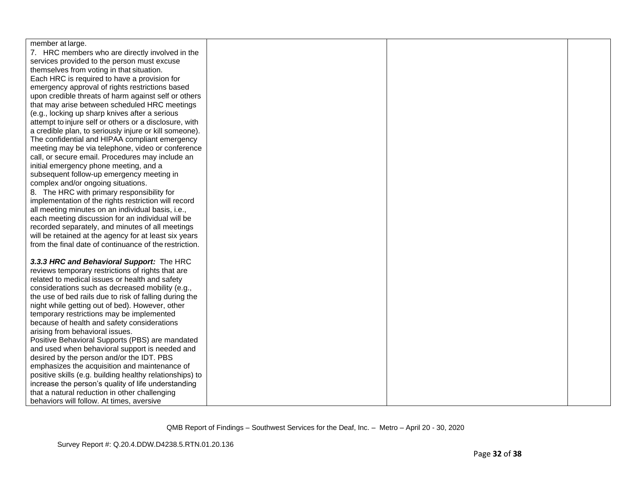| member at large.                                         |  |  |
|----------------------------------------------------------|--|--|
| 7. HRC members who are directly involved in the          |  |  |
| services provided to the person must excuse              |  |  |
| themselves from voting in that situation.                |  |  |
| Each HRC is required to have a provision for             |  |  |
| emergency approval of rights restrictions based          |  |  |
| upon credible threats of harm against self or others     |  |  |
| that may arise between scheduled HRC meetings            |  |  |
| (e.g., locking up sharp knives after a serious           |  |  |
| attempt to injure self or others or a disclosure, with   |  |  |
|                                                          |  |  |
| a credible plan, to seriously injure or kill someone).   |  |  |
| The confidential and HIPAA compliant emergency           |  |  |
| meeting may be via telephone, video or conference        |  |  |
| call, or secure email. Procedures may include an         |  |  |
| initial emergency phone meeting, and a                   |  |  |
| subsequent follow-up emergency meeting in                |  |  |
| complex and/or ongoing situations.                       |  |  |
| 8. The HRC with primary responsibility for               |  |  |
| implementation of the rights restriction will record     |  |  |
| all meeting minutes on an individual basis, i.e.,        |  |  |
| each meeting discussion for an individual will be        |  |  |
| recorded separately, and minutes of all meetings         |  |  |
| will be retained at the agency for at least six years    |  |  |
| from the final date of continuance of the restriction.   |  |  |
| 3.3.3 HRC and Behavioral Support: The HRC                |  |  |
| reviews temporary restrictions of rights that are        |  |  |
| related to medical issues or health and safety           |  |  |
| considerations such as decreased mobility (e.g.,         |  |  |
| the use of bed rails due to risk of falling during the   |  |  |
| night while getting out of bed). However, other          |  |  |
| temporary restrictions may be implemented                |  |  |
| because of health and safety considerations              |  |  |
| arising from behavioral issues.                          |  |  |
| Positive Behavioral Supports (PBS) are mandated          |  |  |
| and used when behavioral support is needed and           |  |  |
| desired by the person and/or the IDT. PBS                |  |  |
| emphasizes the acquisition and maintenance of            |  |  |
| positive skills (e.g. building healthy relationships) to |  |  |
| increase the person's quality of life understanding      |  |  |
| that a natural reduction in other challenging            |  |  |
| behaviors will follow. At times, aversive                |  |  |
|                                                          |  |  |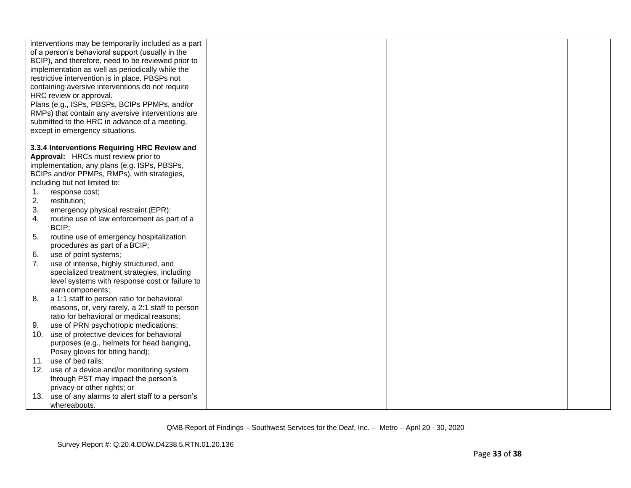|          | interventions may be temporarily included as a part<br>of a person's behavioral support (usually in the<br>BCIP), and therefore, need to be reviewed prior to<br>implementation as well as periodically while the<br>restrictive intervention is in place. PBSPs not<br>containing aversive interventions do not require<br>HRC review or approval.<br>Plans (e.g., ISPs, PBSPs, BCIPs PPMPs, and/or<br>RMPs) that contain any aversive interventions are<br>submitted to the HRC in advance of a meeting,<br>except in emergency situations. |  |  |
|----------|-----------------------------------------------------------------------------------------------------------------------------------------------------------------------------------------------------------------------------------------------------------------------------------------------------------------------------------------------------------------------------------------------------------------------------------------------------------------------------------------------------------------------------------------------|--|--|
|          | 3.3.4 Interventions Requiring HRC Review and                                                                                                                                                                                                                                                                                                                                                                                                                                                                                                  |  |  |
|          | Approval: HRCs must review prior to                                                                                                                                                                                                                                                                                                                                                                                                                                                                                                           |  |  |
|          | implementation, any plans (e.g. ISPs, PBSPs,<br>BCIPs and/or PPMPs, RMPs), with strategies,                                                                                                                                                                                                                                                                                                                                                                                                                                                   |  |  |
|          | including but not limited to:                                                                                                                                                                                                                                                                                                                                                                                                                                                                                                                 |  |  |
| 1.       | response cost;                                                                                                                                                                                                                                                                                                                                                                                                                                                                                                                                |  |  |
| 2.       | restitution;                                                                                                                                                                                                                                                                                                                                                                                                                                                                                                                                  |  |  |
| 3.       | emergency physical restraint (EPR);                                                                                                                                                                                                                                                                                                                                                                                                                                                                                                           |  |  |
| 4.       | routine use of law enforcement as part of a                                                                                                                                                                                                                                                                                                                                                                                                                                                                                                   |  |  |
|          | BCIP;                                                                                                                                                                                                                                                                                                                                                                                                                                                                                                                                         |  |  |
| 5.       | routine use of emergency hospitalization                                                                                                                                                                                                                                                                                                                                                                                                                                                                                                      |  |  |
|          | procedures as part of a BCIP;                                                                                                                                                                                                                                                                                                                                                                                                                                                                                                                 |  |  |
| 6.<br>7. | use of point systems;                                                                                                                                                                                                                                                                                                                                                                                                                                                                                                                         |  |  |
|          | use of intense, highly structured, and<br>specialized treatment strategies, including                                                                                                                                                                                                                                                                                                                                                                                                                                                         |  |  |
|          | level systems with response cost or failure to                                                                                                                                                                                                                                                                                                                                                                                                                                                                                                |  |  |
|          | earn components;                                                                                                                                                                                                                                                                                                                                                                                                                                                                                                                              |  |  |
| 8.       | a 1:1 staff to person ratio for behavioral                                                                                                                                                                                                                                                                                                                                                                                                                                                                                                    |  |  |
|          | reasons, or, very rarely, a 2:1 staff to person                                                                                                                                                                                                                                                                                                                                                                                                                                                                                               |  |  |
|          | ratio for behavioral or medical reasons;                                                                                                                                                                                                                                                                                                                                                                                                                                                                                                      |  |  |
| 9.       | use of PRN psychotropic medications;                                                                                                                                                                                                                                                                                                                                                                                                                                                                                                          |  |  |
| 10.      | use of protective devices for behavioral                                                                                                                                                                                                                                                                                                                                                                                                                                                                                                      |  |  |
|          | purposes (e.g., helmets for head banging,                                                                                                                                                                                                                                                                                                                                                                                                                                                                                                     |  |  |
|          | Posey gloves for biting hand);                                                                                                                                                                                                                                                                                                                                                                                                                                                                                                                |  |  |
|          | 11. use of bed rails;                                                                                                                                                                                                                                                                                                                                                                                                                                                                                                                         |  |  |
|          | 12. use of a device and/or monitoring system<br>through PST may impact the person's                                                                                                                                                                                                                                                                                                                                                                                                                                                           |  |  |
|          | privacy or other rights; or                                                                                                                                                                                                                                                                                                                                                                                                                                                                                                                   |  |  |
|          | 13. use of any alarms to alert staff to a person's                                                                                                                                                                                                                                                                                                                                                                                                                                                                                            |  |  |
|          | whereabouts.                                                                                                                                                                                                                                                                                                                                                                                                                                                                                                                                  |  |  |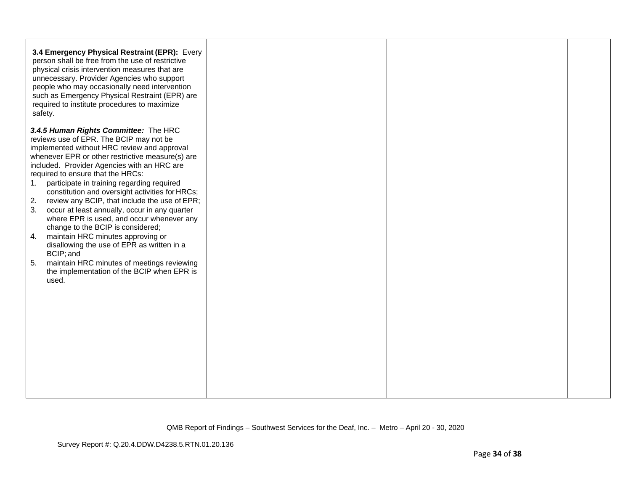| 3.4 Emergency Physical Restraint (EPR): Every<br>person shall be free from the use of restrictive<br>physical crisis intervention measures that are<br>unnecessary. Provider Agencies who support<br>people who may occasionally need intervention<br>such as Emergency Physical Restraint (EPR) are<br>required to institute procedures to maximize<br>safety.                                                                                                                                                                                                                                                                                                                                                                                                                                 |  |  |
|-------------------------------------------------------------------------------------------------------------------------------------------------------------------------------------------------------------------------------------------------------------------------------------------------------------------------------------------------------------------------------------------------------------------------------------------------------------------------------------------------------------------------------------------------------------------------------------------------------------------------------------------------------------------------------------------------------------------------------------------------------------------------------------------------|--|--|
| 3.4.5 Human Rights Committee: The HRC<br>reviews use of EPR. The BCIP may not be<br>implemented without HRC review and approval<br>whenever EPR or other restrictive measure(s) are<br>included. Provider Agencies with an HRC are<br>required to ensure that the HRCs:<br>participate in training regarding required<br>1.<br>constitution and oversight activities for HRCs;<br>2.<br>review any BCIP, that include the use of EPR;<br>3.<br>occur at least annually, occur in any quarter<br>where EPR is used, and occur whenever any<br>change to the BCIP is considered;<br>maintain HRC minutes approving or<br>4.<br>disallowing the use of EPR as written in a<br>BCIP; and<br>maintain HRC minutes of meetings reviewing<br>5.<br>the implementation of the BCIP when EPR is<br>used. |  |  |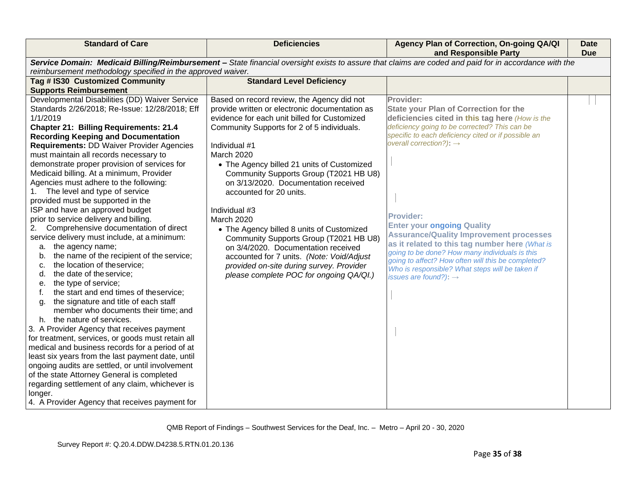| reimbursement methodology specified in the approved waiver.<br>Tag # IS30 Customized Community<br><b>Standard Level Deficiency</b><br><b>Supports Reimbursement</b><br>Developmental Disabilities (DD) Waiver Service<br>Based on record review, the Agency did not<br>Provider:<br>Standards 2/26/2018; Re-Issue: 12/28/2018; Eff<br>provide written or electronic documentation as<br><b>State your Plan of Correction for the</b><br>evidence for each unit billed for Customized<br>1/1/2019<br>deficiencies cited in this tag here (How is the<br>deficiency going to be corrected? This can be<br>Community Supports for 2 of 5 individuals.<br><b>Chapter 21: Billing Requirements: 21.4</b><br>specific to each deficiency cited or if possible an<br><b>Recording Keeping and Documentation</b><br>overall correction?): $\rightarrow$<br><b>Requirements: DD Waiver Provider Agencies</b><br>Individual #1<br>must maintain all records necessary to<br>March 2020<br>demonstrate proper provision of services for<br>• The Agency billed 21 units of Customized<br>Medicaid billing. At a minimum, Provider<br>Community Supports Group (T2021 HB U8)<br>Agencies must adhere to the following:<br>on 3/13/2020. Documentation received<br>1. The level and type of service<br>accounted for 20 units.<br>provided must be supported in the<br>ISP and have an approved budget<br>Individual #3<br><b>Provider:</b><br>prior to service delivery and billing.<br>March 2020<br><b>Enter your ongoing Quality</b><br>Comprehensive documentation of direct<br>2.<br>• The Agency billed 8 units of Customized<br><b>Assurance/Quality Improvement processes</b><br>service delivery must include, at a minimum:<br>Community Supports Group (T2021 HB U8)<br>as it related to this tag number here (What is<br>the agency name;<br>on 3/4/2020. Documentation received<br>а.<br>going to be done? How many individuals is this<br>b. | <b>Standard of Care</b>                                                                                                                               | <b>Deficiencies</b>                       | Agency Plan of Correction, On-going QA/QI<br>and Responsible Party | <b>Date</b><br><b>Due</b> |
|------------------------------------------------------------------------------------------------------------------------------------------------------------------------------------------------------------------------------------------------------------------------------------------------------------------------------------------------------------------------------------------------------------------------------------------------------------------------------------------------------------------------------------------------------------------------------------------------------------------------------------------------------------------------------------------------------------------------------------------------------------------------------------------------------------------------------------------------------------------------------------------------------------------------------------------------------------------------------------------------------------------------------------------------------------------------------------------------------------------------------------------------------------------------------------------------------------------------------------------------------------------------------------------------------------------------------------------------------------------------------------------------------------------------------------------------------------------------------------------------------------------------------------------------------------------------------------------------------------------------------------------------------------------------------------------------------------------------------------------------------------------------------------------------------------------------------------------------------------------------------------------------------------------------------------------------|-------------------------------------------------------------------------------------------------------------------------------------------------------|-------------------------------------------|--------------------------------------------------------------------|---------------------------|
|                                                                                                                                                                                                                                                                                                                                                                                                                                                                                                                                                                                                                                                                                                                                                                                                                                                                                                                                                                                                                                                                                                                                                                                                                                                                                                                                                                                                                                                                                                                                                                                                                                                                                                                                                                                                                                                                                                                                                | Service Domain: Medicaid Billing/Reimbursement - State financial oversight exists to assure that claims are coded and paid for in accordance with the |                                           |                                                                    |                           |
|                                                                                                                                                                                                                                                                                                                                                                                                                                                                                                                                                                                                                                                                                                                                                                                                                                                                                                                                                                                                                                                                                                                                                                                                                                                                                                                                                                                                                                                                                                                                                                                                                                                                                                                                                                                                                                                                                                                                                |                                                                                                                                                       |                                           |                                                                    |                           |
|                                                                                                                                                                                                                                                                                                                                                                                                                                                                                                                                                                                                                                                                                                                                                                                                                                                                                                                                                                                                                                                                                                                                                                                                                                                                                                                                                                                                                                                                                                                                                                                                                                                                                                                                                                                                                                                                                                                                                |                                                                                                                                                       |                                           |                                                                    |                           |
| the location of theservice;<br>provided on-site during survey. Provider<br>c.<br>Who is responsible? What steps will be taken if<br>the date of the service;<br>please complete POC for ongoing QA/QI.)<br>d.<br>issues are found?): $\rightarrow$<br>the type of service;<br>е.<br>the start and end times of theservice;<br>f.<br>the signature and title of each staff<br>g.<br>member who documents their time; and<br>h. the nature of services.<br>3. A Provider Agency that receives payment<br>for treatment, services, or goods must retain all<br>medical and business records for a period of at<br>least six years from the last payment date, until<br>ongoing audits are settled, or until involvement<br>of the state Attorney General is completed<br>regarding settlement of any claim, whichever is<br>longer.<br>4. A Provider Agency that receives payment for                                                                                                                                                                                                                                                                                                                                                                                                                                                                                                                                                                                                                                                                                                                                                                                                                                                                                                                                                                                                                                                             | the name of the recipient of the service;                                                                                                             | accounted for 7 units. (Note: Void/Adjust | going to affect? How often will this be completed?                 |                           |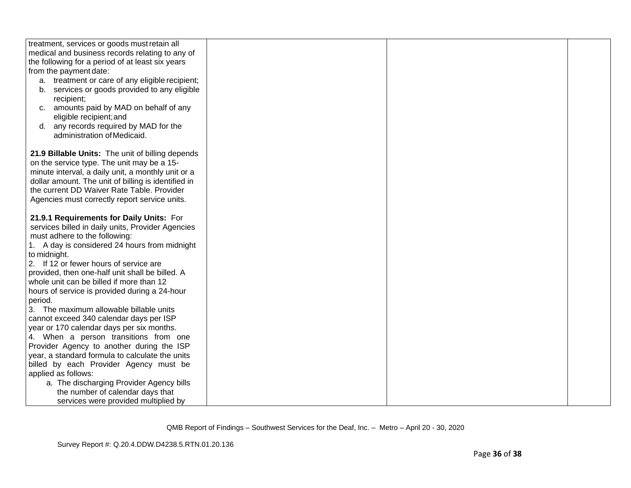| treatment, services or goods must retain all        |  |  |
|-----------------------------------------------------|--|--|
| medical and business records relating to any of     |  |  |
| the following for a period of at least six years    |  |  |
| from the payment date:                              |  |  |
| a. treatment or care of any eligible recipient;     |  |  |
| b. services or goods provided to any eligible       |  |  |
| recipient;                                          |  |  |
| amounts paid by MAD on behalf of any<br>C.          |  |  |
| eligible recipient; and                             |  |  |
| any records required by MAD for the<br>d.           |  |  |
| administration of Medicaid.                         |  |  |
|                                                     |  |  |
| 21.9 Billable Units: The unit of billing depends    |  |  |
| on the service type. The unit may be a 15-          |  |  |
|                                                     |  |  |
| minute interval, a daily unit, a monthly unit or a  |  |  |
| dollar amount. The unit of billing is identified in |  |  |
| the current DD Waiver Rate Table. Provider          |  |  |
| Agencies must correctly report service units.       |  |  |
| 21.9.1 Requirements for Daily Units: For            |  |  |
|                                                     |  |  |
| services billed in daily units, Provider Agencies   |  |  |
| must adhere to the following:                       |  |  |
| 1. A day is considered 24 hours from midnight       |  |  |
| to midnight.                                        |  |  |
| 2. If 12 or fewer hours of service are              |  |  |
| provided, then one-half unit shall be billed. A     |  |  |
| whole unit can be billed if more than 12            |  |  |
| hours of service is provided during a 24-hour       |  |  |
| period.                                             |  |  |
| 3. The maximum allowable billable units             |  |  |
| cannot exceed 340 calendar days per ISP             |  |  |
| year or 170 calendar days per six months.           |  |  |
| 4. When a person transitions from one               |  |  |
| Provider Agency to another during the ISP           |  |  |
| year, a standard formula to calculate the units     |  |  |
| billed by each Provider Agency must be              |  |  |
| applied as follows:                                 |  |  |
| a. The discharging Provider Agency bills            |  |  |
| the number of calendar days that                    |  |  |
| services were provided multiplied by                |  |  |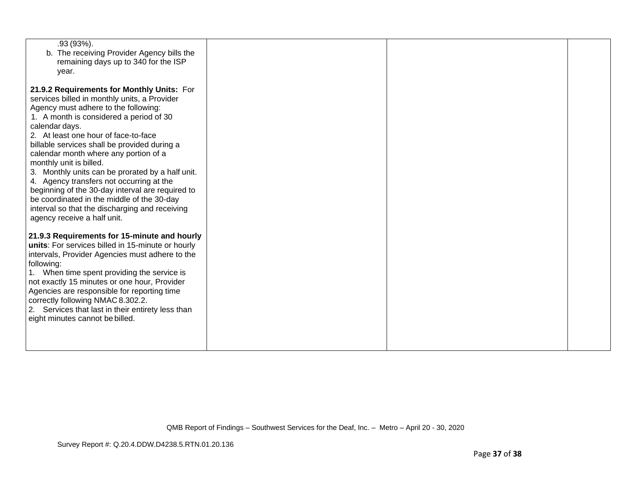| .93 (93%).<br>b. The receiving Provider Agency bills the<br>remaining days up to 340 for the ISP<br>year.                                                                                                                                                                                                                                                                                                                                                                                                                                                                                                                                      |  |  |
|------------------------------------------------------------------------------------------------------------------------------------------------------------------------------------------------------------------------------------------------------------------------------------------------------------------------------------------------------------------------------------------------------------------------------------------------------------------------------------------------------------------------------------------------------------------------------------------------------------------------------------------------|--|--|
| 21.9.2 Requirements for Monthly Units: For<br>services billed in monthly units, a Provider<br>Agency must adhere to the following:<br>1. A month is considered a period of 30<br>calendar days.<br>2. At least one hour of face-to-face<br>billable services shall be provided during a<br>calendar month where any portion of a<br>monthly unit is billed.<br>3. Monthly units can be prorated by a half unit.<br>4. Agency transfers not occurring at the<br>beginning of the 30-day interval are required to<br>be coordinated in the middle of the 30-day<br>interval so that the discharging and receiving<br>agency receive a half unit. |  |  |
| 21.9.3 Requirements for 15-minute and hourly<br>units: For services billed in 15-minute or hourly<br>intervals, Provider Agencies must adhere to the<br>following:<br>1. When time spent providing the service is<br>not exactly 15 minutes or one hour, Provider<br>Agencies are responsible for reporting time<br>correctly following NMAC 8.302.2.<br>2. Services that last in their entirety less than<br>eight minutes cannot be billed.                                                                                                                                                                                                  |  |  |